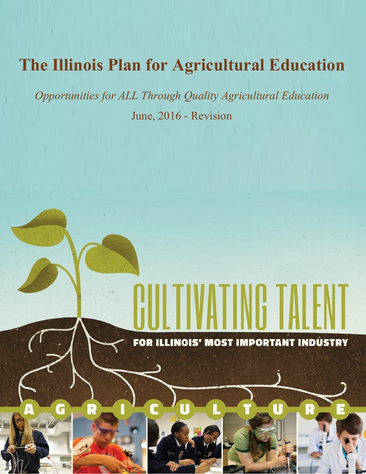# **The Illinois Plan for Agricultural Education**

*Opportunities for ALL Through Quality Agricultural Education* June, 2016 - Revision

R

FOR ILLINOIS' MOST IMPORTANT INDUSTRY

R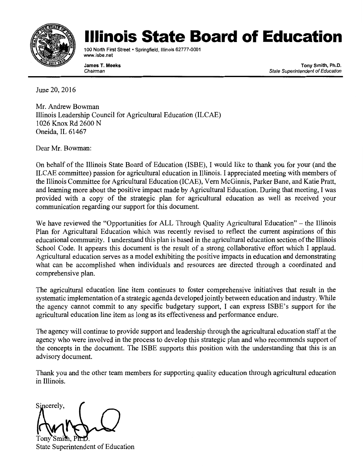

# llinois State Board of Education

100 North First Street · Springfield, Illinois 62777-0001 www.isbe.net

James T. Meeks Chairman

Tony Smith, Ph.D. State Superintendent of Education

June 20, 2016

Mr. Andrew Bowman Illinois Leadership Council for Agricultural Education (ILCAE) 1026 Knox Rd 2600 N Oneida, IL 61467

Dear Mr. Bowman:

On behalf of the Illinois State Board of Education (ISBE), I would like to thank you for your (and the ILCAE committee) passion for agricultural education in Illinois. I appreciated meeting with members of the Illinois Committee for Agricultural Education (ICAE), Vern McGinnis, Parker Bane, and Katie Pratt, and learning more about the positive impact made by Agricultural Education. During that meeting, I was provided with a copy of the strategic plan for agricultural education as well as received your communication regarding our support for this document.

We have reviewed the "Opportunities for ALL Through Quality Agricultural Education" – the Illinois Plan for Agricultural Education which was recently revised to reflect the current aspirations of this educational community. I understand this plan is based in the agricultural education section of the Illinois School Code. It appears this document is the result of a strong collaborative effort which I applaud. Agricultural education serves as a model exhibiting the positive impacts in education and demonstrating what can be accomplished when individuals and resources are directed through a coordinated and comprehensive plan.

The agricultural education line item continues to foster comprehensive initiatives that result in the systematic implementation of a strategic agenda developed jointly between education and industry. While the agency cannot commit to any specific budgetary support, I can express ISBE's support for the agricultural education line item as long as its effectiveness and performance endure.

The agency will continue to provide support and leadership through the agricultural education staff at the agency who were involved in the process to develop this strategic plan and who recommends support of the concepts in the document. The ISBE supports this position with the understanding that this is an advisory document.

Thank you and the other team members for supporting quality education through agricultural education in Illinois.

Sincerely,

State Superintendent of Education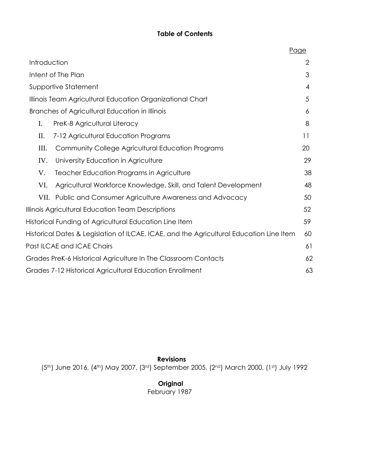# **Table of Contents**

|                                                                                         |                                                                 | Page |
|-----------------------------------------------------------------------------------------|-----------------------------------------------------------------|------|
| Introduction                                                                            |                                                                 |      |
| Intent of The Plan                                                                      |                                                                 | 3    |
| Supportive Statement                                                                    |                                                                 | 4    |
| Illinois Team Agricultural Education Organizational Chart                               |                                                                 | 5    |
| Branches of Agricultural Education in Illinois                                          |                                                                 | 6    |
| I.                                                                                      | PreK-8 Agricultural Literacy                                    | 8    |
| П.                                                                                      | 7-12 Agricultural Education Programs                            | 11   |
| Ш.                                                                                      | <b>Community College Agricultural Education Programs</b>        | 20   |
| IV.                                                                                     | University Education in Agriculture                             | 29   |
| V.                                                                                      | <b>Teacher Education Programs in Agriculture</b>                | 38   |
| VI.                                                                                     | Agricultural Workforce Knowledge, Skill, and Talent Development | 48   |
|                                                                                         | VII. Public and Consumer Agriculture Awareness and Advocacy     | 50   |
| Illinois Agricultural Education Team Descriptions                                       |                                                                 | 52   |
|                                                                                         | Historical Funding of Agricultural Education Line Item          | 59   |
| Historical Dates & Legislation of ILCAE, ICAE, and the Agricultural Education Line Item |                                                                 | 60   |
|                                                                                         | Past ILCAE and ICAE Chairs                                      | 61   |
| Grades PreK-6 Historical Agriculture In The Classroom Contacts                          |                                                                 | 62   |
| Grades 7-12 Historical Agricultural Education Enrollment                                |                                                                 |      |

 **Revisions** (5th) June 2016, (4th) May 2007, (3rd) September 2005, (2nd) March 2000, (1st) July 1992

> **Original** February 1987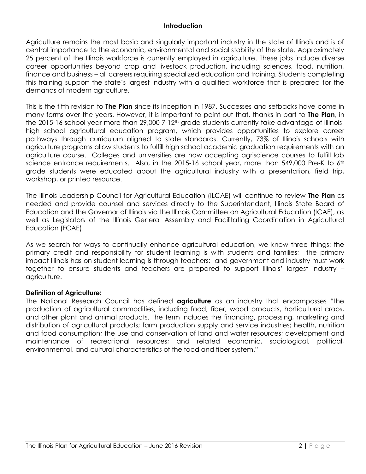#### **Introduction**

Agriculture remains the most basic and singularly important industry in the state of Illinois and is of central importance to the economic, environmental and social stability of the state. Approximately 25 percent of the Illinois workforce is currently employed in agriculture. These jobs include diverse career opportunities beyond crop and livestock production, including sciences, food, nutrition, finance and business – all careers requiring specialized education and training. Students completing this training support the state's largest industry with a qualified workforce that is prepared for the demands of modern agriculture.

This is the fifth revision to **The Plan** since its inception in 1987. Successes and setbacks have come in many forms over the years. However, it is important to point out that, thanks in part to **The Plan**, in the 2015-16 school year more than 29,000 7-12<sup>th</sup> grade students currently take advantage of Illinois' high school agricultural education program, which provides opportunities to explore career pathways through curriculum aligned to state standards. Currently, 73% of Illinois schools with agriculture programs allow students to fulfill high school academic graduation requirements with an agriculture course. Colleges and universities are now accepting agriscience courses to fulfill lab science entrance requirements. Also, in the 2015-16 school year, more than 549,000 Pre-K to 6<sup>th</sup> grade students were educated about the agricultural industry with a presentation, field trip, workshop, or printed resource.

The Illinois Leadership Council for Agricultural Education (ILCAE) will continue to review **The Plan** as needed and provide counsel and services directly to the Superintendent, Illinois State Board of Education and the Governor of Illinois via the Illinois Committee on Agricultural Education (ICAE), as well as Legislators of the Illinois General Assembly and Facilitating Coordination in Agricultural Education (FCAE).

As we search for ways to continually enhance agricultural education, we know three things: the primary credit and responsibility for student learning is with students and families; the primary impact Illinois has on student learning is through teachers; and government and industry must work together to ensure students and teachers are prepared to support Illinois' largest industry – agriculture.

#### **Definition of Agriculture:**

The National Research Council has defined **agriculture** as an industry that encompasses "the production of agricultural commodities, including food, fiber, wood products, horticultural crops, and other plant and animal products. The term includes the financing, processing, marketing and distribution of agricultural products; farm production supply and service industries; health, nutrition and food consumption; the use and conservation of land and water resources; development and maintenance of recreational resources; and related economic, sociological, political, environmental, and cultural characteristics of the food and fiber system."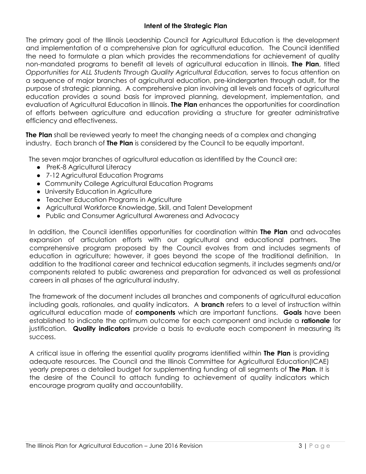#### **Intent of the Strategic Plan**

The primary goal of the Illinois Leadership Council for Agricultural Education is the development and implementation of a comprehensive plan for agricultural education. The Council identified the need to formulate a plan which provides the recommendations for achievement of quality non-mandated programs to benefit all levels of agricultural education in Illinois. **The Plan**, titled *Opportunities for ALL Students Through Quality Agricultural Education,* serves to focus attention on a sequence of major branches of agricultural education, pre-kindergarten through adult, for the purpose of strategic planning. A comprehensive plan involving all levels and facets of agricultural education provides a sound basis for improved planning, development, implementation, and evaluation of Agricultural Education in Illinois. **The Plan** enhances the opportunities for coordination of efforts between agriculture and education providing a structure for greater administrative efficiency and effectiveness.

**The Plan** shall be reviewed yearly to meet the changing needs of a complex and changing industry. Each branch of **The Plan** is considered by the Council to be equally important.

The seven major branches of agricultural education as identified by the Council are:

- PreK-8 Agricultural Literacy
- 7-12 Agricultural Education Programs
- Community College Agricultural Education Programs
- University Education in Agriculture
- Teacher Education Programs in Agriculture
- Agricultural Workforce Knowledge, Skill, and Talent Development
- Public and Consumer Agricultural Awareness and Advocacy

In addition, the Council identifies opportunities for coordination within **The Plan** and advocates expansion of articulation efforts with our agricultural and educational partners. The comprehensive program proposed by the Council evolves from and includes segments of education in agriculture; however, it goes beyond the scope of the traditional definition. In addition to the traditional career and technical education segments, it includes segments and/or components related to public awareness and preparation for advanced as well as professional careers in all phases of the agricultural industry.

The framework of the document includes all branches and components of agricultural education including goals, rationales, and quality indicators. A **branch** refers to a level of instruction within agricultural education made of **components** which are important functions. **Goals** have been established to indicate the optimum outcome for each component and include a **rationale** for justification. **Quality indicators** provide a basis to evaluate each component in measuring its success.

A critical issue in offering the essential quality programs identified within **The Plan** is providing adequate resources. The Council and the Illinois Committee for Agricultural Education(ICAE) yearly prepares a detailed budget for supplementing funding of all segments of **The Plan**. It is the desire of the Council to attach funding to achievement of quality indicators which encourage program quality and accountability.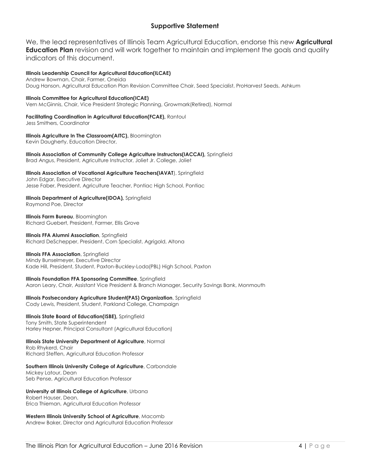#### **Supportive Statement**

We, the lead representatives of Illinois Team Agricultural Education, endorse this new **Agricultural Education Plan** revision and will work together to maintain and implement the goals and quality indicators of this document.

#### **Illinois Leadership Council for Agricultural Education(ILCAE)**

Andrew Bowman, Chair, Farmer, Oneida Doug Hanson, Agricultural Education Plan Revision Committee Chair, Seed Specialist, ProHarvest Seeds, Ashkum

**Illinois Committee for Agricultural Education(ICAE)** Vern McGinnis, Chair, Vice President Strategic Planning, Growmark(Retired), Normal

#### **Facilitating Coordination in Agricultural Education(FCAE),** Rantoul

Jess Smithers, Coordinator

**Illinois Agriculture In The Classroom(AITC),** Bloomington Kevin Daugherty, Education Director,

**Illinois Association of Community College Agriculture Instructors(IACCAI),** Springfield Brad Angus, President, Agriculture Instructor, Joliet Jr. College, Joliet

#### **Illinois Association of Vocational Agriculture Teachers(IAVAT**), Springfield

John Edgar, Executive Director Jesse Faber, President, Agriculture Teacher, Pontiac High School, Pontiac

#### **Illinois Department of Agriculture(IDOA),** Springfield

Raymond Poe, Director

**Illinois Farm Bureau**, Bloomington Richard Guebert, President, Farmer, Ellis Grove

**Illinois FFA Alumni Association**, Springfield Richard DeSchepper, President, Corn Specialist, Agrigold, Altona

#### **Illinois FFA Association**, Springfield

Mindy Bunselmeyer, Executive Director Kade Hill, President, Student, Paxton-Buckley-Loda(PBL) High School, Paxton

**Illinois Foundation FFA Sponsoring Committee**, Springfield

Aaron Leary, Chair, Assistant Vice President & Branch Manager, Security Savings Bank, Monmouth

#### **Illinois Postsecondary Agriculture Student(PAS) Organization**, Springfield

Cody Lewis, President, Student, Parkland College, Champaign

#### **Illinois State Board of Education(ISBE),** Springfield

Tony Smith, State Superintendent Harley Hepner, Principal Consultant (Agricultural Education)

**Illinois State University Department of Agriculture**, Normal Rob Rhykerd, Chair Richard Steffen, Agricultural Education Professor

#### **Southern Illinois University College of Agriculture**, Carbondale Mickey Latour, Dean Seb Pense, Agricultural Education Professor

**University of Illinois College of Agriculture**, Urbana Robert Hauser, Dean, Erica Thieman, Agricultural Education Professor

**Western Illinois University School of Agriculture**, Macomb Andrew Baker, Director and Agricultural Education Professor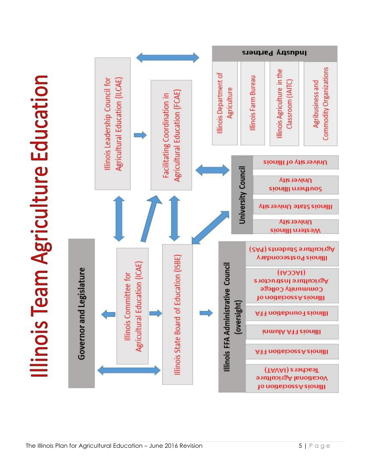Illinois Team Agriculture Education

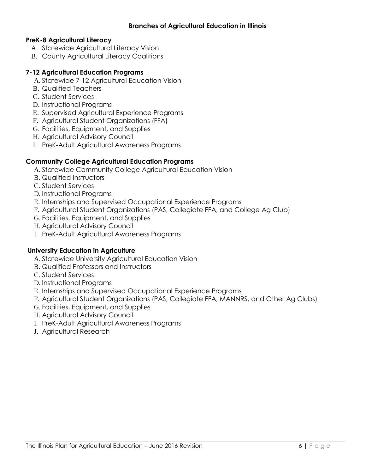#### **PreK-8 Agricultural Literacy**

- A. Statewide Agricultural Literacy Vision
- B. County Agricultural Literacy Coalitions

#### **7-12 Agricultural Education Programs**

- A. Statewide 7-12 Agricultural Education Vision
- B. Qualified Teachers
- C. Student Services
- D. Instructional Programs
- E. Supervised Agricultural Experience Programs
- F. Agricultural Student Organizations (FFA)
- G. Facilities, Equipment, and Supplies
- H. Agricultural Advisory Council
- I. PreK-Adult Agricultural Awareness Programs

# **Community College Agricultural Education Programs**

- A. Statewide Community College Agricultural Education Vision
- B. Qualified Instructors
- C. Student Services
- D. Instructional Programs
- E. Internships and Supervised Occupational Experience Programs
- F. Agricultural Student Organizations (PAS, Collegiate FFA, and College Ag Club)
- G. Facilities, Equipment, and Supplies
- H. Agricultural Advisory Council
- I. PreK-Adult Agricultural Awareness Programs

# **University Education in Agriculture**

- A. Statewide University Agricultural Education Vision
- B. Qualified Professors and Instructors
- C. Student Services
- D. Instructional Programs
- E. Internships and Supervised Occupational Experience Programs
- F. Agricultural Student Organizations (PAS, Collegiate FFA, MANNRS, and Other Ag Clubs)
- G. Facilities, Equipment, and Supplies
- H. Agricultural Advisory Council
- I. PreK-Adult Agricultural Awareness Programs
- J. Agricultural Research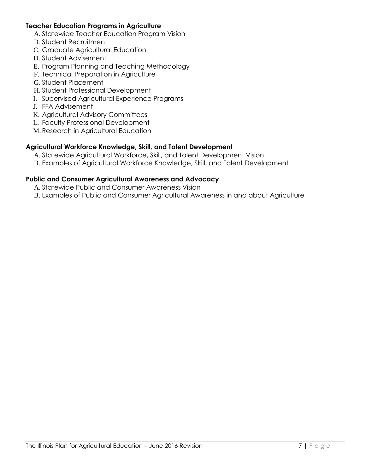#### **Teacher Education Programs in Agriculture**

- A. Statewide Teacher Education Program Vision
- B. Student Recruitment
- C. Graduate Agricultural Education
- D. Student Advisement
- E. Program Planning and Teaching Methodology
- F. Technical Preparation in Agriculture
- G. Student Placement
- H. Student Professional Development
- I. Supervised Agricultural Experience Programs
- J. FFA Advisement
- K. Agricultural Advisory Committees
- L. Faculty Professional Development
- M. Research in Agricultural Education

#### **Agricultural Workforce Knowledge, Skill, and Talent Development**

- A. Statewide Agricultural Workforce, Skill, and Talent Development Vision
- B. Examples of Agricultural Workforce Knowledge, Skill, and Talent Development

#### **Public and Consumer Agricultural Awareness and Advocacy**

- A. Statewide Public and Consumer Awareness Vision
- B. Examples of Public and Consumer Agricultural Awareness in and about Agriculture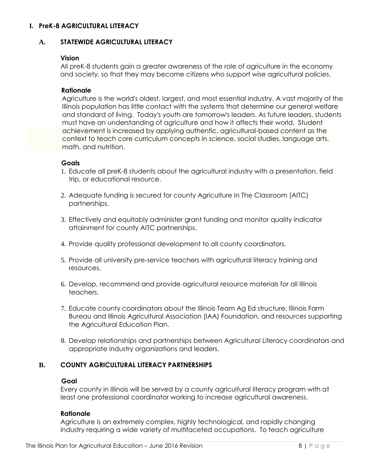#### <span id="page-9-0"></span>**I. PreK-8 AGRICULTURAL LITERACY**

#### **A. STATEWIDE AGRICULTURAL LITERACY**

#### **Vision**

All preK-8 students gain a greater awareness of the role of agriculture in the economy and society, so that they may become citizens who support wise agricultural policies.

#### **Rationale**

 Agriculture is the world's oldest, largest, and most essential industry. A vast majority of the Illinois population has little contact with the systems that determine our general welfare and standard of living. Today's youth are tomorrow's leaders. As future leaders, students must have an understanding of agriculture and how it affects their world. Student achievement is increased by applying authentic, agricultural-based content as the context to teach core curriculum concepts in science, social studies, language arts, math, and nutrition.

#### **Goals**

- 1. Educate all preK-8 students about the agricultural industry with a presentation, field trip, or educational resource.
- 2. Adequate funding is secured for county Agriculture In The Classroom (AITC) partnerships.
- 3. Effectively and equitably administer grant funding and monitor quality indicator attainment for county AITC partnerships.
- 4. Provide quality professional development to all county coordinators.
- 5. Provide all university pre-service teachers with agricultural literacy training and resources.
- 6. Develop, recommend and provide agricultural resource materials for all Illinois teachers.
- 7. Educate county coordinators about the Illinois Team Ag Ed structure, Illinois Farm Bureau and Illinois Agricultural Association (IAA) Foundation, and resources supporting the Agricultural Education Plan.
- 8. Develop relationships and partnerships between Agricultural Literacy coordinators and appropriate industry organizations and leaders.

#### **B. COUNTY AGRICULTURAL LITERACY PARTNERSHIPS**

#### **Goal**

Every county in Illinois will be served by a county agricultural literacy program with at least one professional coordinator working to increase agricultural awareness.

#### **Rationale**

Agriculture is an extremely complex, highly technological, and rapidly changing industry requiring a wide variety of multifaceted occupations. To teach agriculture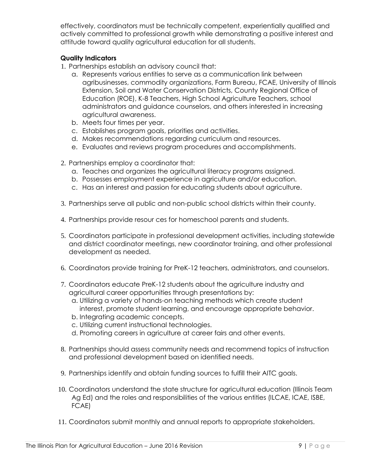effectively, coordinators must be technically competent, experientially qualified and actively committed to professional growth while demonstrating a positive interest and attitude toward quality agricultural education for all students.

- 1. Partnerships establish an advisory council that:
	- a. Represents various entities to serve as a communication link between agribusinesses, commodity organizations, Farm Bureau, FCAE, University of Illinois Extension, Soil and Water Conservation Districts, County Regional Office of Education (ROE), K-8 Teachers, High School Agriculture Teachers, school administrators and guidance counselors, and others interested in increasing agricultural awareness.
	- b. Meets four times per year.
	- c. Establishes program goals, priorities and activities.
	- d. Makes recommendations regarding curriculum and resources.
	- e. Evaluates and reviews program procedures and accomplishments.
- 2. Partnerships employ a coordinator that:
	- a. Teaches and organizes the agricultural literacy programs assigned.
	- b. Possesses employment experience in agriculture and/or education.
	- c. Has an interest and passion for educating students about agriculture.
- 3. Partnerships serve all public and non-public school districts within their county.
- 4. Partnerships provide resour ces for homeschool parents and students.
- 5. Coordinators participate in professional development activities, including statewide and district coordinator meetings, new coordinator training, and other professional development as needed.
- 6. Coordinators provide training for PreK-12 teachers, administrators, and counselors.
- 7. Coordinators educate PreK-12 students about the agriculture industry and agricultural career opportunities through presentations by:
	- a. Utilizing a variety of hands-on teaching methods which create student interest, promote student learning, and encourage appropriate behavior.
	- b. Integrating academic concepts.
	- c. Utilizing current instructional technologies.
	- d. Promoting careers in agriculture at career fairs and other events.
- 8. Partnerships should assess community needs and recommend topics of instruction and professional development based on identified needs.
- 9. Partnerships identify and obtain funding sources to fulfill their AITC goals.
- 10. Coordinators understand the state structure for agricultural education (Illinois Team Ag Ed) and the roles and responsibilities of the various entities (ILCAE, ICAE, ISBE, FCAE)
- 11. Coordinators submit monthly and annual reports to appropriate stakeholders.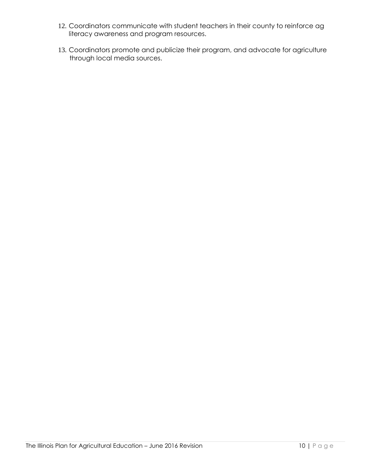- 12. Coordinators communicate with student teachers in their county to reinforce ag literacy awareness and program resources.
- 13. Coordinators promote and publicize their program, and advocate for agriculture through local media sources.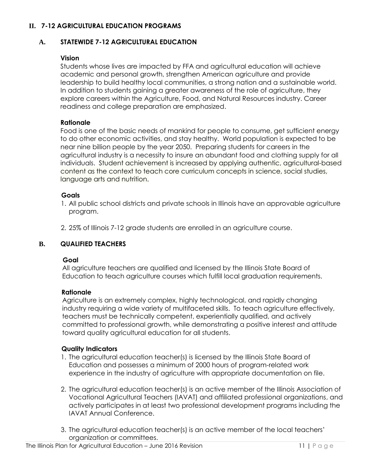#### **II. 7-12 AGRICULTURAL EDUCATION PROGRAMS**

#### **A. STATEWIDE 7-12 AGRICULTURAL EDUCATION**

#### **Vision**

Students whose lives are impacted by FFA and agricultural education will achieve academic and personal growth, strengthen American agriculture and provide leadership to build healthy local communities, a strong nation and a sustainable world. In addition to students gaining a greater awareness of the role of agriculture, they explore careers within the Agriculture, Food, and Natural Resources industry. Career readiness and college preparation are emphasized.

#### **Rationale**

Food is one of the basic needs of mankind for people to consume, get sufficient energy to do other economic activities, and stay healthy. World population is expected to be near nine billion people by the year 2050. Preparing students for careers in the agricultural industry is a necessity to insure an abundant food and clothing supply for all individuals. Student achievement is increased by applying authentic, agricultural-based content as the context to teach core curriculum concepts in science, social studies, language arts and nutrition.

#### **Goals**

- 1. All public school districts and private schools in Illinois have an approvable agriculture program.
- 2. 25% of Illinois 7-12 grade students are enrolled in an agriculture course.

#### **B. QUALIFIED TEACHERS**

#### **Goal**

 All agriculture teachers are qualified and licensed by the Illinois State Board of Education to teach agriculture courses which fulfill local graduation requirements.

#### **Rationale**

 Agriculture is an extremely complex, highly technological, and rapidly changing industry requiring a wide variety of multifaceted skills. To teach agriculture effectively, teachers must be technically competent, experientially qualified, and actively committed to professional growth, while demonstrating a positive interest and attitude toward quality agricultural education for all students.

- 1. The agricultural education teacher(s) is licensed by the Illinois State Board of Education and possesses a minimum of 2000 hours of program-related work experience in the industry of agriculture with appropriate documentation on file.
- 2. The agricultural education teacher(s) is an active member of the Illinois Association of Vocational Agricultural Teachers (IAVAT) and affiliated professional organizations, and actively participates in at least two professional development programs including the IAVAT Annual Conference.
- 3. The agricultural education teacher(s) is an active member of the local teachers' organization or committees.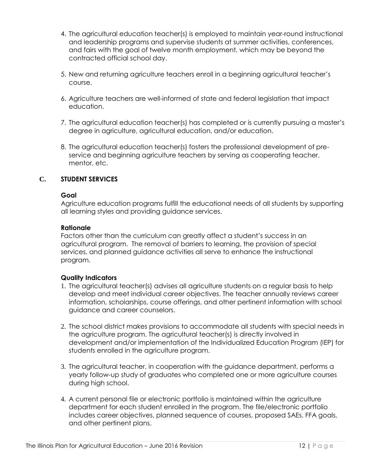- 4. The agricultural education teacher(s) is employed to maintain year-round instructional and leadership programs and supervise students at summer activities, conferences, and fairs with the goal of twelve month employment, which may be beyond the contracted official school day.
- 5. New and returning agriculture teachers enroll in a beginning agricultural teacher's course.
- 6. Agriculture teachers are well-informed of state and federal legislation that impact education.
- 7. The agricultural education teacher(s) has completed or is currently pursuing a master's degree in agriculture, agricultural education, and/or education.
- 8. The agricultural education teacher(s) fosters the professional development of preservice and beginning agriculture teachers by serving as cooperating teacher, mentor, etc.

#### **C. STUDENT SERVICES**

#### **Goal**

Agriculture education programs fulfill the educational needs of all students by supporting all learning styles and providing guidance services.

#### **Rationale**

Factors other than the curriculum can greatly affect a student's success in an agricultural program. The removal of barriers to learning, the provision of special services, and planned guidance activities all serve to enhance the instructional program.

- 1. The agricultural teacher(s) advises all agriculture students on a regular basis to help develop and meet individual career objectives. The teacher annually reviews career information, scholarships, course offerings, and other pertinent information with school guidance and career counselors.
- 2. The school district makes provisions to accommodate all students with special needs in the agriculture program. The agricultural teacher(s) is directly involved in development and/or implementation of the Individualized Education Program (IEP) for students enrolled in the agriculture program.
- 3. The agricultural teacher, in cooperation with the guidance department, performs a yearly follow-up study of graduates who completed one or more agriculture courses during high school.
- 4. A current personal file or electronic portfolio is maintained within the agriculture department for each student enrolled in the program. The file/electronic portfolio includes career objectives, planned sequence of courses, proposed SAEs, FFA goals, and other pertinent plans.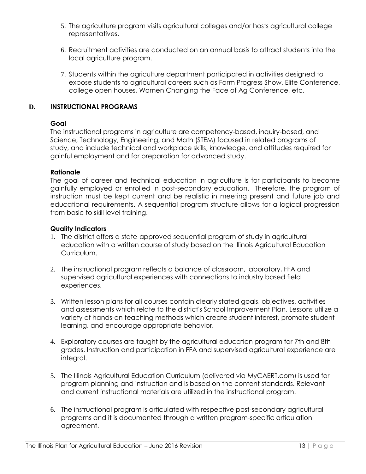- 5. The agriculture program visits agricultural colleges and/or hosts agricultural college representatives.
- 6. Recruitment activities are conducted on an annual basis to attract students into the local agriculture program.
- 7. Students within the agriculture department participated in activities designed to expose students to agricultural careers such as Farm Progress Show, Elite Conference, college open houses, Women Changing the Face of Ag Conference, etc.

#### **D. INSTRUCTIONAL PROGRAMS**

#### **Goal**

The instructional programs in agriculture are competency-based, inquiry-based, and Science, Technology, Engineering, and Math (STEM) focused in related programs of study, and include technical and workplace skills, knowledge, and attitudes required for gainful employment and for preparation for advanced study.

#### **Rationale**

The goal of career and technical education in agriculture is for participants to become gainfully employed or enrolled in post-secondary education. Therefore, the program of instruction must be kept current and be realistic in meeting present and future job and educational requirements. A sequential program structure allows for a logical progression from basic to skill level training.

- 1. The district offers a state-approved sequential program of study in agricultural education with a written course of study based on the Illinois Agricultural Education Curriculum.
- 2. The instructional program reflects a balance of classroom, laboratory, FFA and supervised agricultural experiences with connections to industry based field experiences.
- 3. Written lesson plans for all courses contain clearly stated goals, objectives, activities and assessments which relate to the district's School Improvement Plan. Lessons utilize a variety of hands-on teaching methods which create student interest, promote student learning, and encourage appropriate behavior.
- 4. Exploratory courses are taught by the agricultural education program for 7th and 8th grades. Instruction and participation in FFA and supervised agricultural experience are integral.
- 5. The Illinois Agricultural Education Curriculum (delivered via MyCAERT.com) is used for program planning and instruction and is based on the content standards. Relevant and current instructional materials are utilized in the instructional program.
- 6. The instructional program is articulated with respective post-secondary agricultural programs and it is documented through a written program-specific articulation agreement.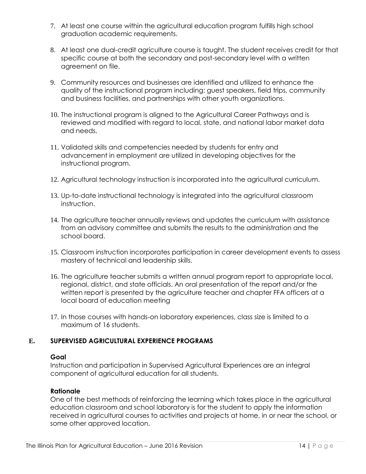- 7. At least one course within the agricultural education program fulfills high school graduation academic requirements.
- 8. At least one dual-credit agriculture course is taught. The student receives credit for that specific course at both the secondary and post-secondary level with a written agreement on file.
- 9. Community resources and businesses are identified and utilized to enhance the quality of the instructional program including: guest speakers, field trips, community and business facilities, and partnerships with other youth organizations.
- 10. The instructional program is aligned to the Agricultural Career Pathways and is reviewed and modified with regard to local, state, and national labor market data and needs.
- 11. Validated skills and competencies needed by students for entry and advancement in employment are utilized in developing objectives for the instructional program.
- 12. Agricultural technology instruction is incorporated into the agricultural curriculum.
- 13. Up-to-date instructional technology is integrated into the agricultural classroom instruction.
- 14. The agriculture teacher annually reviews and updates the curriculum with assistance from an advisory committee and submits the results to the administration and the school board.
- 15. Classroom instruction incorporates participation in career development events to assess mastery of technical and leadership skills.
- 16. The agriculture teacher submits a written annual program report to appropriate local, regional, district, and state officials. An oral presentation of the report and/or the written report is presented by the agriculture teacher and chapter FFA officers at a local board of education meeting
- 17. In those courses with hands-on laboratory experiences, class size is limited to a maximum of 16 students.

#### **E. SUPERVISED AGRICULTURAL EXPERIENCE PROGRAMS**

#### **Goal**

Instruction and participation in Supervised Agricultural Experiences are an integral component of agricultural education for all students.

#### **Rationale**

One of the best methods of reinforcing the learning which takes place in the agricultural education classroom and school laboratory is for the student to apply the information received in agricultural courses to activities and projects at home, in or near the school, or some other approved location.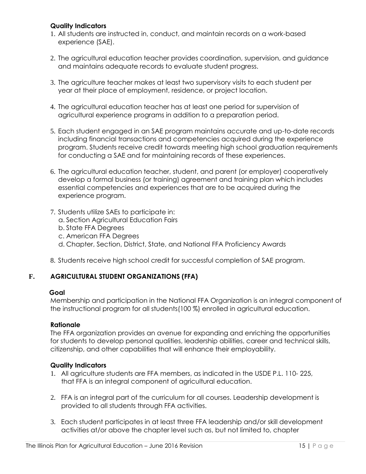#### **Quality Indicators**

- 1. All students are instructed in, conduct, and maintain records on a work-based experience (SAE).
- 2. The agricultural education teacher provides coordination, supervision, and guidance and maintains adequate records to evaluate student progress.
- 3. The agriculture teacher makes at least two supervisory visits to each student per year at their place of employment, residence, or project location.
- 4. The agricultural education teacher has at least one period for supervision of agricultural experience programs in addition to a preparation period.
- 5. Each student engaged in an SAE program maintains accurate and up-to-date records including financial transactions and competencies acquired during the experience program. Students receive credit towards meeting high school graduation requirements for conducting a SAE and for maintaining records of these experiences.
- 6. The agricultural education teacher, student, and parent (or employer) cooperatively develop a formal business (or training) agreement and training plan which includes essential competencies and experiences that are to be acquired during the experience program.
- 7. Students utilize SAEs to participate in:
	- a. Section Agricultural Education Fairs
	- b. State FFA Degrees
	- c. American FFA Degrees
	- d. Chapter, Section, District, State, and National FFA Proficiency Awards
- 8. Students receive high school credit for successful completion of SAE program.

# **F. AGRICULTURAL STUDENT ORGANIZATIONS (FFA)**

#### **Goal**

Membership and participation in the National FFA Organization is an integral component of the instructional program for all students(100 %) enrolled in agricultural education.

#### **Rationale**

The FFA organization provides an avenue for expanding and enriching the opportunities for students to develop personal qualities, leadership abilities, career and technical skills, citizenship, and other capabilities that will enhance their employability.

- 1. All agriculture students are FFA members, as indicated in the USDE P.L. 110- 225, that FFA is an integral component of agricultural education.
- 2. FFA is an integral part of the curriculum for all courses. Leadership development is provided to all students through FFA activities.
- 3. Each student participates in at least three FFA leadership and/or skill development activities at/or above the chapter level such as, but not limited to, chapter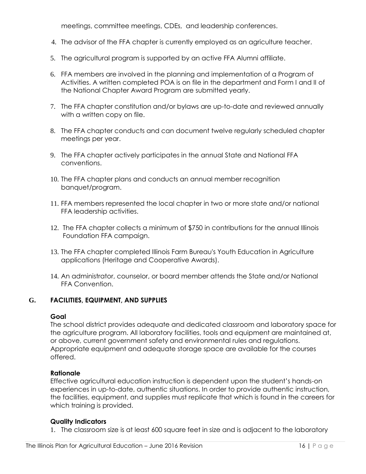meetings, committee meetings, CDEs, and leadership conferences.

- 4. The advisor of the FFA chapter is currently employed as an agriculture teacher.
- 5. The agricultural program is supported by an active FFA Alumni affiliate.
- 6. FFA members are involved in the planning and implementation of a Program of Activities. A written completed POA is on file in the department and Form I and II of the National Chapter Award Program are submitted yearly.
- 7. The FFA chapter constitution and/or bylaws are up-to-date and reviewed annually with a written copy on file.
- 8. The FFA chapter conducts and can document twelve regularly scheduled chapter meetings per year.
- 9. The FFA chapter actively participates in the annual State and National FFA conventions.
- 10. The FFA chapter plans and conducts an annual member recognition banquet/program.
- 11. FFA members represented the local chapter in two or more state and/or national FFA leadership activities.
- 12. The FFA chapter collects a minimum of \$750 in contributions for the annual Illinois Foundation FFA campaign.
- 13. The FFA chapter completed Illinois Farm Bureau's Youth Education in Agriculture applications (Heritage and Cooperative Awards).
- 14. An administrator, counselor, or board member attends the State and/or National FFA Convention.

#### **G. FACILITIES, EQUIPMENT, AND SUPPLIES**

#### **Goal**

The school district provides adequate and dedicated classroom and laboratory space for the agriculture program. All laboratory facilities, tools and equipment are maintained at, or above, current government safety and environmental rules and regulations. Appropriate equipment and adequate storage space are available for the courses offered.

#### **Rationale**

Effective agricultural education instruction is dependent upon the student's hands-on experiences in up-to-date, authentic situations. In order to provide authentic instruction, the facilities, equipment, and supplies must replicate that which is found in the careers for which training is provided.

#### **Quality Indicators**

1. The classroom size is at least 600 square feet in size and is adjacent to the laboratory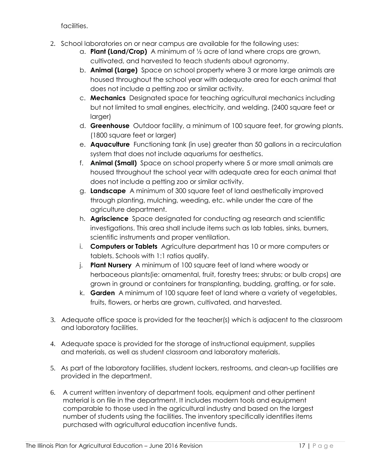facilities.

- 2. School laboratories on or near campus are available for the following uses:
	- a. **Plant (Land/Crop)** A minimum of ½ acre of land where crops are grown, cultivated, and harvested to teach students about agronomy.
	- b. **Animal (Large)** Space on school property where 3 or more large animals are housed throughout the school year with adequate area for each animal that does not include a petting zoo or similar activity.
	- c. **Mechanics** Designated space for teaching agricultural mechanics including but not limited to small engines, electricity, and welding. (2400 square feet or larger)
	- d. **Greenhouse** Outdoor facility, a minimum of 100 square feet, for growing plants. (1800 square feet or larger)
	- e. **Aquaculture** Functioning tank (in use) greater than 50 gallons in a recirculation system that does not include aquariums for aesthetics.
	- f. **Animal (Small)** Space on school property where 5 or more small animals are housed throughout the school year with adequate area for each animal that does not include a petting zoo or similar activity.
	- g. **Landscape** A minimum of 300 square feet of land aesthetically improved through planting, mulching, weeding, etc. while under the care of the agriculture department.
	- h. **Agriscience** Space designated for conducting ag research and scientific investigations. This area shall include items such as lab tables, sinks, burners, scientific instruments and proper ventilation.
	- i. **Computers or Tablets** Agriculture department has 10 or more computers or tablets. Schools with 1:1 ratios qualify.
	- j. **Plant Nursery** A minimum of 100 square feet of land where woody or herbaceous plants(ie: ornamental, fruit, forestry trees; shrubs; or bulb crops) are grown in ground or containers for transplanting, budding, grafting, or for sale.
	- k. **Garden** A minimum of 100 square feet of land where a variety of vegetables, fruits, flowers, or herbs are grown, cultivated, and harvested.
- 3. Adequate office space is provided for the teacher(s) which is adjacent to the classroom and laboratory facilities.
- 4. Adequate space is provided for the storage of instructional equipment, supplies and materials, as well as student classroom and laboratory materials.
- 5. As part of the laboratory facilities, student lockers, restrooms, and clean-up facilities are provided in the department.
- 6. A current written inventory of department tools, equipment and other pertinent material is on file in the department. It includes modern tools and equipment comparable to those used in the agricultural industry and based on the largest number of students using the facilities. The inventory specifically identifies items purchased with agricultural education incentive funds.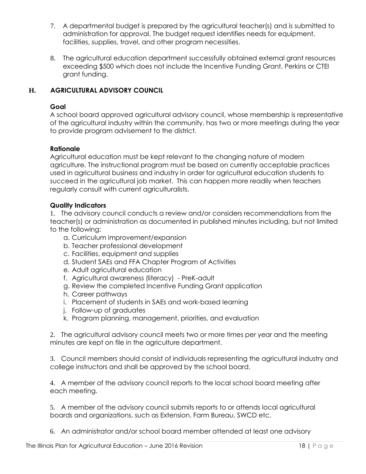- 7. A departmental budget is prepared by the agricultural teacher(s) and is submitted to administration for approval. The budget request identifies needs for equipment, facilities, supplies, travel, and other program necessities.
- 8. The agricultural education department successfully obtained external grant resources exceeding \$500 which does not include the Incentive Funding Grant, Perkins or CTEI grant funding.

### **H. AGRICULTURAL ADVISORY COUNCIL**

#### **Goal**

A school board approved agricultural advisory council, whose membership is representative of the agricultural industry within the community, has two or more meetings during the year to provide program advisement to the district.

#### **Rationale**

Agricultural education must be kept relevant to the changing nature of modern agriculture. The instructional program must be based on currently acceptable practices used in agricultural business and industry in order for agricultural education students to succeed in the agricultural job market. This can happen more readily when teachers regularly consult with current agriculturalists.

#### **Quality Indicators**

1. The advisory council conducts a review and/or considers recommendations from the teacher(s) or administration as documented in published minutes including, but not limited to the following:

- a. Curriculum improvement/expansion
- b. Teacher professional development
- c. Facilities, equipment and supplies
- d. Student SAEs and FFA Chapter Program of Activities
- e. Adult agricultural education
- f. Agricultural awareness (literacy) PreK-adult
- g. Review the completed Incentive Funding Grant application
- h. Career pathways
- i. Placement of students in SAEs and work-based learning
- j. Follow-up of graduates
- k. Program planning, management, priorities, and evaluation

2. The agricultural advisory council meets two or more times per year and the meeting minutes are kept on file in the agriculture department.

3. Council members should consist of individuals representing the agricultural industry and college instructors and shall be approved by the school board.

4. A member of the advisory council reports to the local school board meeting after each meeting.

5. A member of the advisory council submits reports to or attends local agricultural boards and organizations, such as Extension, Farm Bureau, SWCD etc.

6. An administrator and/or school board member attended at least one advisory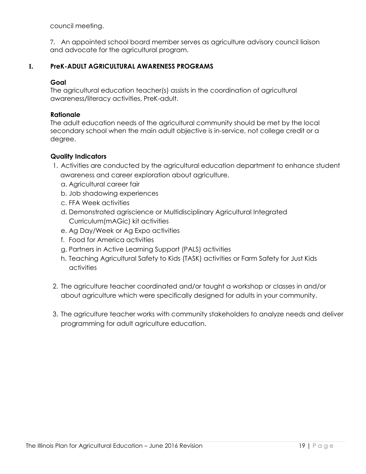council meeting.

7. An appointed school board member serves as agriculture advisory council liaison and advocate for the agricultural program.

#### **I. PreK-ADULT AGRICULTURAL AWARENESS PROGRAMS**

#### **Goal**

The agricultural education teacher(s) assists in the coordination of agricultural awareness/literacy activities, PreK-adult.

#### **Rationale**

The adult education needs of the agricultural community should be met by the local secondary school when the main adult objective is in-service, not college credit or a degree.

- 1. Activities are conducted by the agricultural education department to enhance student awareness and career exploration about agriculture.
	- a. Agricultural career fair
	- b. Job shadowing experiences
	- c. FFA Week activities
	- d. Demonstrated agriscience or Multidisciplinary Agricultural Integrated Curriculum(mAGic) kit activities
	- e. Ag Day/Week or Ag Expo activities
	- f. Food for America activities
	- g. Partners in Active Learning Support (PALS) activities
	- h. Teaching Agricultural Safety to Kids (TASK) activities or Farm Safety for Just Kids activities
- 2. The agriculture teacher coordinated and/or taught a workshop or classes in and/or about agriculture which were specifically designed for adults in your community.
- 3. The agriculture teacher works with community stakeholders to analyze needs and deliver programming for adult agriculture education.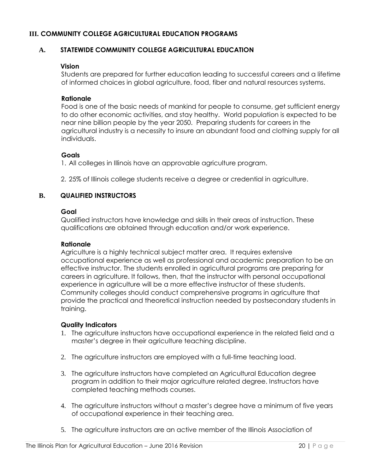#### **III. COMMUNITY COLLEGE AGRICULTURAL EDUCATION PROGRAMS**

#### **A. STATEWIDE COMMUNITY COLLEGE AGRICULTURAL EDUCATION**

#### **Vision**

Students are prepared for further education leading to successful careers and a lifetime of informed choices in global agriculture, food, fiber and natural resources systems.

#### **Rationale**

Food is one of the basic needs of mankind for people to consume, get sufficient energy to do other economic activities, and stay healthy. World population is expected to be near nine billion people by the year 2050. Preparing students for careers in the agricultural industry is a necessity to insure an abundant food and clothing supply for all individuals.

#### **Goals**

1. All colleges in Illinois have an approvable agriculture program.

2. 25% of Illinois college students receive a degree or credential in agriculture.

#### **B. QUALIFIED INSTRUCTORS**

#### **Goal**

Qualified instructors have knowledge and skills in their areas of instruction. These qualifications are obtained through education and/or work experience.

#### **Rationale**

Agriculture is a highly technical subject matter area. It requires extensive occupational experience as well as professional and academic preparation to be an effective instructor. The students enrolled in agricultural programs are preparing for careers in agriculture. It follows, then, that the instructor with personal occupational experience in agriculture will be a more effective instructor of these students. Community colleges should conduct comprehensive programs in agriculture that provide the practical and theoretical instruction needed by postsecondary students in training.

- 1. The agriculture instructors have occupational experience in the related field and a master's degree in their agriculture teaching discipline.
- 2. The agriculture instructors are employed with a full-time teaching load.
- 3. The agriculture instructors have completed an Agricultural Education degree program in addition to their major agriculture related degree. Instructors have completed teaching methods courses.
- 4. The agriculture instructors without a master's degree have a minimum of five years of occupational experience in their teaching area.
- 5. The agriculture instructors are an active member of the Illinois Association of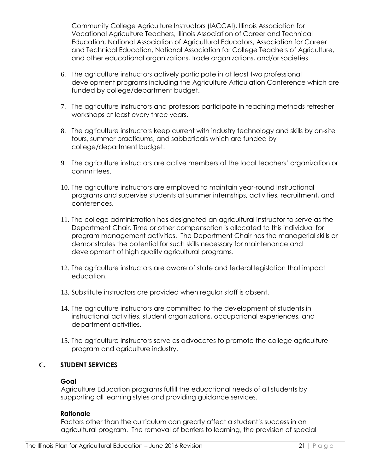Community College Agriculture Instructors (IACCAI), Illinois Association for Vocational Agriculture Teachers, Illinois Association of Career and Technical Education, National Association of Agricultural Educators, Association for Career and Technical Education, National Association for College Teachers of Agriculture, and other educational organizations, trade organizations, and/or societies.

- 6. The agriculture instructors actively participate in at least two professional development programs including the Agriculture Articulation Conference which are funded by college/department budget.
- 7. The agriculture instructors and professors participate in teaching methods refresher workshops at least every three years.
- 8. The agriculture instructors keep current with industry technology and skills by on-site tours, summer practicums, and sabbaticals which are funded by college/department budget.
- 9. The agriculture instructors are active members of the local teachers' organization or committees.
- 10. The agriculture instructors are employed to maintain year-round instructional programs and supervise students at summer internships, activities, recruitment, and conferences.
- 11. The college administration has designated an agricultural instructor to serve as the Department Chair. Time or other compensation is allocated to this individual for program management activities. The Department Chair has the managerial skills or demonstrates the potential for such skills necessary for maintenance and development of high quality agricultural programs.
- 12. The agriculture instructors are aware of state and federal legislation that impact education.
- 13. Substitute instructors are provided when regular staff is absent.
- 14. The agriculture instructors are committed to the development of students in instructional activities, student organizations, occupational experiences, and department activities.
- 15. The agriculture instructors serve as advocates to promote the college agriculture program and agriculture industry.

#### **C. STUDENT SERVICES**

#### **Goal**

Agriculture Education programs fulfill the educational needs of all students by supporting all learning styles and providing guidance services.

#### **Rationale**

Factors other than the curriculum can greatly affect a student's success in an agricultural program. The removal of barriers to learning, the provision of special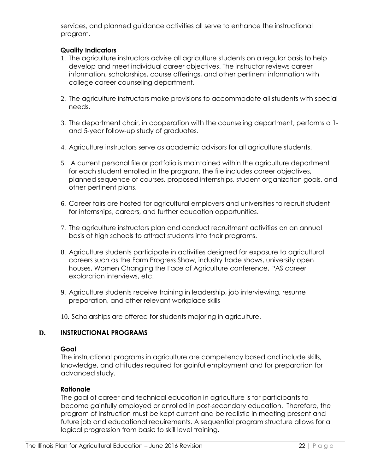services, and planned guidance activities all serve to enhance the instructional program.

#### **Quality Indicators**

- 1. The agriculture instructors advise all agriculture students on a regular basis to help develop and meet individual career objectives. The instructor reviews career information, scholarships, course offerings, and other pertinent information with college career counseling department.
- 2. The agriculture instructors make provisions to accommodate all students with special needs.
- 3. The department chair, in cooperation with the counseling department, performs a 1 and 5-year follow-up study of graduates.
- 4. Agriculture instructors serve as academic advisors for all agriculture students.
- 5. A current personal file or portfolio is maintained within the agriculture department for each student enrolled in the program. The file includes career objectives, planned sequence of courses, proposed internships, student organization goals, and other pertinent plans.
- 6. Career fairs are hosted for agricultural employers and universities to recruit student for internships, careers, and further education opportunities.
- 7. The agriculture instructors plan and conduct recruitment activities on an annual basis at high schools to attract students into their programs.
- 8. Agriculture students participate in activities designed for exposure to agricultural careers such as the Farm Progress Show, industry trade shows, university open houses, Women Changing the Face of Agriculture conference, PAS career exploration interviews, etc.
- 9. Agriculture students receive training in leadership, job interviewing, resume preparation, and other relevant workplace skills

10. Scholarships are offered for students majoring in agriculture.

#### **D. INSTRUCTIONAL PROGRAMS**

#### **Goal**

The instructional programs in agriculture are competency based and include skills, knowledge, and attitudes required for gainful employment and for preparation for advanced study.

#### **Rationale**

The goal of career and technical education in agriculture is for participants to become gainfully employed or enrolled in post-secondary education. Therefore, the program of instruction must be kept current and be realistic in meeting present and future job and educational requirements. A sequential program structure allows for a logical progression from basic to skill level training.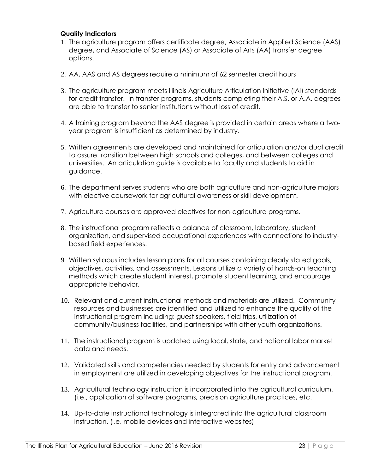- 1. The agriculture program offers certificate degree, Associate in Applied Science (AAS) degree, and Associate of Science (AS) or Associate of Arts (AA) transfer degree options.
- 2. AA, AAS and AS degrees require a minimum of 62 semester credit hours
- 3. The agriculture program meets Illinois Agriculture Articulation Initiative (IAI) standards for credit transfer. In transfer programs, students completing their A.S. or A.A. degrees are able to transfer to senior institutions without loss of credit.
- 4. A training program beyond the AAS degree is provided in certain areas where a twoyear program is insufficient as determined by industry.
- 5. Written agreements are developed and maintained for articulation and/or dual credit to assure transition between high schools and colleges, and between colleges and universities. An articulation guide is available to faculty and students to aid in guidance.
- 6. The department serves students who are both agriculture and non-agriculture majors with elective coursework for agricultural awareness or skill development.
- 7. Agriculture courses are approved electives for non-agriculture programs.
- 8. The instructional program reflects a balance of classroom, laboratory, student organization, and supervised occupational experiences with connections to industrybased field experiences.
- 9. Written syllabus includes lesson plans for all courses containing clearly stated goals, objectives, activities, and assessments. Lessons utilize a variety of hands-on teaching methods which create student interest, promote student learning, and encourage appropriate behavior.
- 10. Relevant and current instructional methods and materials are utilized. Community resources and businesses are identified and utilized to enhance the quality of the instructional program including: guest speakers, field trips, utilization of community/business facilities, and partnerships with other youth organizations.
- 11. The instructional program is updated using local, state, and national labor market data and needs.
- 12. Validated skills and competencies needed by students for entry and advancement in employment are utilized in developing objectives for the instructional program.
- 13. Agricultural technology instruction is incorporated into the agricultural curriculum. (i.e., application of software programs, precision agriculture practices, etc.
- 14. Up-to-date instructional technology is integrated into the agricultural classroom instruction. (i.e. mobile devices and interactive websites)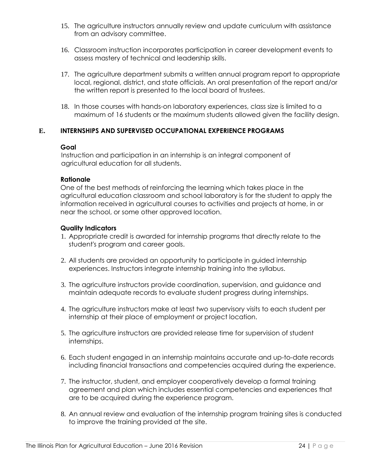- 15. The agriculture instructors annually review and update curriculum with assistance from an advisory committee.
- 16. Classroom instruction incorporates participation in career development events to assess mastery of technical and leadership skills.
- 17. The agriculture department submits a written annual program report to appropriate local, regional, district, and state officials. An oral presentation of the report and/or the written report is presented to the local board of trustees.
- 18. In those courses with hands-on laboratory experiences, class size is limited to a maximum of 16 students or the maximum students allowed given the facility design.

#### **E. INTERNSHIPS AND SUPERVISED OCCUPATIONAL EXPERIENCE PROGRAMS**

#### **Goal**

 Instruction and participation in an internship is an integral component of agricultural education for all students.

#### **Rationale**

One of the best methods of reinforcing the learning which takes place in the agricultural education classroom and school laboratory is for the student to apply the information received in agricultural courses to activities and projects at home, in or near the school, or some other approved location.

- 1. Appropriate credit is awarded for internship programs that directly relate to the student's program and career goals.
- 2. All students are provided an opportunity to participate in guided internship experiences. Instructors integrate internship training into the syllabus.
- 3. The agriculture instructors provide coordination, supervision, and guidance and maintain adequate records to evaluate student progress during internships.
- 4. The agriculture instructors make at least two supervisory visits to each student per internship at their place of employment or project location.
- 5. The agriculture instructors are provided release time for supervision of student internships.
- 6. Each student engaged in an internship maintains accurate and up-to-date records including financial transactions and competencies acquired during the experience.
- 7. The instructor, student, and employer cooperatively develop a formal training agreement and plan which includes essential competencies and experiences that are to be acquired during the experience program.
- 8. An annual review and evaluation of the internship program training sites is conducted to improve the training provided at the site.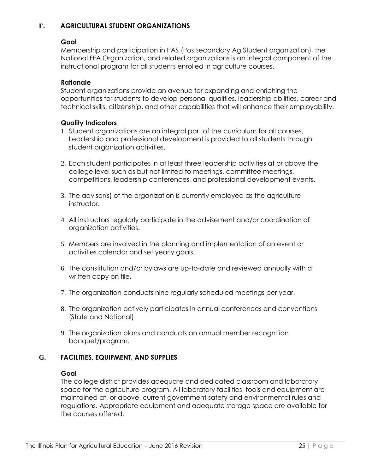#### **F. AGRICULTURAL STUDENT ORGANIZATIONS**

#### **Goal**

Membership and participation in PAS (Postsecondary Ag Student organization), the National FFA Organization, and related organizations is an integral component of the instructional program for all students enrolled in agriculture courses.

#### **Rationale**

Student organizations provide an avenue for expanding and enriching the opportunities for students to develop personal qualities, leadership abilities, career and technical skills, citizenship, and other capabilities that will enhance their employability.

#### **Quality Indicators**

- 1. Student organizations are an integral part of the curriculum for all courses. Leadership and professional development is provided to all students through student organization activities.
- 2. Each student participates in at least three leadership activities at or above the college level such as but not limited to meetings, committee meetings, competitions, leadership conferences, and professional development events.
- 3. The advisor(s) of the organization is currently employed as the agriculture instructor.
- 4. All instructors regularly participate in the advisement and/or coordination of organization activities.
- 5. Members are involved in the planning and implementation of an event or activities calendar and set yearly goals.
- 6. The constitution and/or bylaws are up-to-date and reviewed annually with a written copy on file.
- 7. The organization conducts nine regularly scheduled meetings per year.
- 8. The organization actively participates in annual conferences and conventions (State and National)
- 9. The organization plans and conducts an annual member recognition banquet/program.

#### **G. FACILITIES, EQUIPMENT, AND SUPPLIES**

#### **Goal**

The college district provides adequate and dedicated classroom and laboratory space for the agriculture program. All laboratory facilities, tools and equipment are maintained at, or above, current government safety and environmental rules and regulations. Appropriate equipment and adequate storage space are available for the courses offered.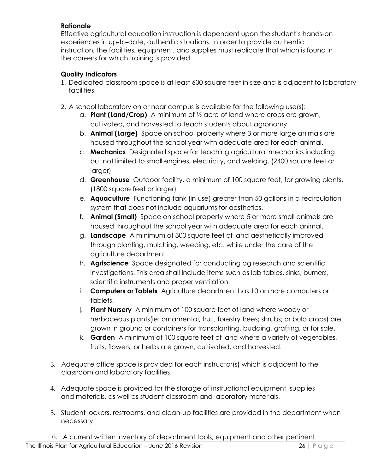#### **Rationale**

Effective agricultural education instruction is dependent upon the student's hands-on experiences in up-to-date, authentic situations. In order to provide authentic instruction, the facilities, equipment, and supplies must replicate that which is found in the careers for which training is provided.

- 1. Dedicated classroom space is at least 600 square feet in size and is adjacent to laboratory facilities.
- 2. A school laboratory on or near campus is available for the following use(s):
	- a. **Plant (Land/Crop)** A minimum of ½ acre of land where crops are grown, cultivated, and harvested to teach students about agronomy.
	- b. **Animal (Large)** Space on school property where 3 or more large animals are housed throughout the school year with adequate area for each animal.
	- c. **Mechanics** Designated space for teaching agricultural mechanics including but not limited to small engines, electricity, and welding. (2400 square feet or larger)
	- d. **Greenhouse** Outdoor facility, a minimum of 100 square feet, for growing plants. (1800 square feet or larger)
	- e. **Aquaculture** Functioning tank (in use) greater than 50 gallons in a recirculation system that does not include aquariums for aesthetics.
	- f. **Animal (Small)** Space on school property where 5 or more small animals are housed throughout the school year with adequate area for each animal.
	- g. **Landscape** A minimum of 300 square feet of land aesthetically improved through planting, mulching, weeding, etc. while under the care of the agriculture department.
	- h. **Agriscience** Space designated for conducting ag research and scientific investigations. This area shall include items such as lab tables, sinks, burners, scientific instruments and proper ventilation.
	- i. **Computers or Tablets** Agriculture department has 10 or more computers or tablets.
	- j. **Plant Nursery** A minimum of 100 square feet of land where woody or herbaceous plants(ie: ornamental, fruit, forestry trees; shrubs; or bulb crops) are grown in ground or containers for transplanting, budding, grafting, or for sale.
	- k. **Garden** A minimum of 100 square feet of land where a variety of vegetables, fruits, flowers, or herbs are grown, cultivated, and harvested.
- 3. Adequate office space is provided for each instructor(s) which is adjacent to the classroom and laboratory facilities.
- 4. Adequate space is provided for the storage of instructional equipment, supplies and materials, as well as student classroom and laboratory materials.
- 5. Student lockers, restrooms, and clean-up facilities are provided in the department when necessary.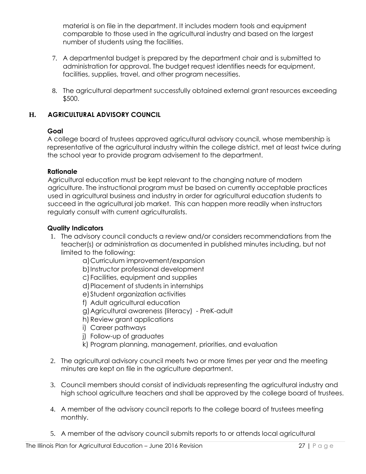material is on file in the department. It includes modern tools and equipment comparable to those used in the agricultural industry and based on the largest number of students using the facilities.

- 7. A departmental budget is prepared by the department chair and is submitted to administration for approval. The budget request identifies needs for equipment, facilities, supplies, travel, and other program necessities.
- 8. The agricultural department successfully obtained external grant resources exceeding \$500.

# **H. AGRICULTURAL ADVISORY COUNCIL**

#### **Goal**

A college board of trustees approved agricultural advisory council, whose membership is representative of the agricultural industry within the college district, met at least twice during the school year to provide program advisement to the department.

#### **Rationale**

Agricultural education must be kept relevant to the changing nature of modern agriculture. The instructional program must be based on currently acceptable practices used in agricultural business and industry in order for agricultural education students to succeed in the agricultural job market. This can happen more readily when instructors regularly consult with current agriculturalists.

- 1. The advisory council conducts a review and/or considers recommendations from the teacher(s) or administration as documented in published minutes including, but not limited to the following:
	- a)Curriculum improvement/expansion
	- b)Instructor professional development
	- c) Facilities, equipment and supplies
	- d)Placement of students in internships
	- e) Student organization activities
	- f) Adult agricultural education
	- g)Agricultural awareness (literacy) PreK-adult
	- h) Review grant applications
	- i) Career pathways
	- j) Follow-up of graduates
	- k) Program planning, management, priorities, and evaluation
- 2. The agricultural advisory council meets two or more times per year and the meeting minutes are kept on file in the agriculture department.
- 3. Council members should consist of individuals representing the agricultural industry and high school agriculture teachers and shall be approved by the college board of trustees.
- 4. A member of the advisory council reports to the college board of trustees meeting monthly.
- 5. A member of the advisory council submits reports to or attends local agricultural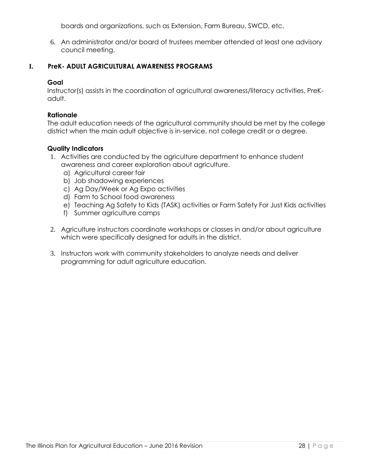boards and organizations, such as Extension, Farm Bureau, SWCD, etc.

6. An administrator and/or board of trustees member attended at least one advisory council meeting.

#### **I. PreK- ADULT AGRICULTURAL AWARENESS PROGRAMS**

#### **Goal**

Instructor(s) assists in the coordination of agricultural awareness/literacy activities, PreKadult.

#### **Rationale**

The adult education needs of the agricultural community should be met by the college district when the main adult objective is in-service, not college credit or a degree.

- 1. Activities are conducted by the agriculture department to enhance student awareness and career exploration about agriculture.
	- a) Agricultural career fair
	- b) Job shadowing experiences
	- c) Ag Day/Week or Ag Expo activities
	- d) Farm to School food awareness
	- e) Teaching Ag Safety to Kids (TASK) activities or Farm Safety For Just Kids activities
	- f) Summer agriculture camps
- 2. Agriculture instructors coordinate workshops or classes in and/or about agriculture which were specifically designed for adults in the district.
- 3. Instructors work with community stakeholders to analyze needs and deliver programming for adult agriculture education.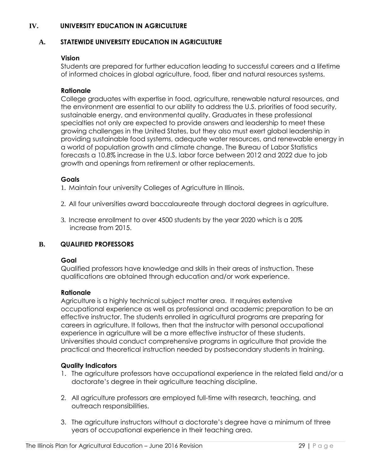#### **IV. UNIVERSITY EDUCATION IN AGRICULTURE**

#### **A. STATEWIDE UNIVERSITY EDUCATION IN AGRICULTURE**

#### **Vision**

Students are prepared for further education leading to successful careers and a lifetime of informed choices in global agriculture, food, fiber and natural resources systems.

#### **Rationale**

College graduates with expertise in food, agriculture, renewable natural resources, and the environment are essential to our ability to address the U.S. priorities of food security, sustainable energy, and environmental quality. Graduates in these professional specialties not only are expected to provide answers and leadership to meet these growing challenges in the United States, but they also must exert global leadership in providing sustainable food systems, adequate water resources, and renewable energy in a world of population growth and climate change. The Bureau of Labor Statistics forecasts a 10.8% increase in the U.S. labor force between 2012 and 2022 due to job growth and openings from retirement or other replacements.

#### **Goals**

1. Maintain four university Colleges of Agriculture in Illinois.

- 2. All four universities award baccalaureate through doctoral degrees in agriculture.
- 3. Increase enrollment to over 4500 students by the year 2020 which is a 20% increase from 2015.

#### **B. QUALIFIED PROFESSORS**

#### **Goal**

Qualified professors have knowledge and skills in their areas of instruction. These qualifications are obtained through education and/or work experience.

#### **Rationale**

Agriculture is a highly technical subject matter area. It requires extensive occupational experience as well as professional and academic preparation to be an effective instructor. The students enrolled in agricultural programs are preparing for careers in agriculture. It follows, then that the instructor with personal occupational experience in agriculture will be a more effective instructor of these students. Universities should conduct comprehensive programs in agriculture that provide the practical and theoretical instruction needed by postsecondary students in training.

- 1. The agriculture professors have occupational experience in the related field and/or a doctorate's degree in their agriculture teaching discipline.
- 2. All agriculture professors are employed full-time with research, teaching, and outreach responsibilities.
- 3. The agriculture instructors without a doctorate's degree have a minimum of three years of occupational experience in their teaching area.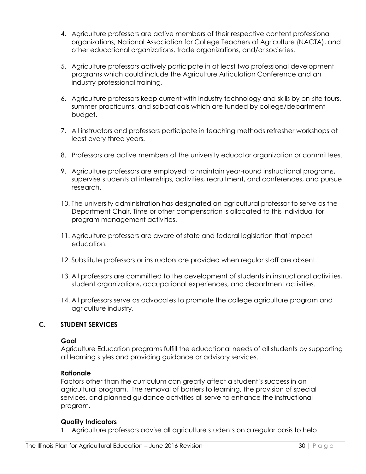- 4. Agriculture professors are active members of their respective content professional organizations, National Association for College Teachers of Agriculture (NACTA), and other educational organizations, trade organizations, and/or societies.
- 5. Agriculture professors actively participate in at least two professional development programs which could include the Agriculture Articulation Conference and an industry professional training.
- 6. Agriculture professors keep current with industry technology and skills by on-site tours, summer practicums, and sabbaticals which are funded by college/department budget.
- 7. All instructors and professors participate in teaching methods refresher workshops at least every three years.
- 8. Professors are active members of the university educator organization or committees.
- 9. Agriculture professors are employed to maintain year-round instructional programs, supervise students at internships, activities, recruitment, and conferences, and pursue research.
- 10. The university administration has designated an agricultural professor to serve as the Department Chair. Time or other compensation is allocated to this individual for program management activities.
- 11. Agriculture professors are aware of state and federal legislation that impact education.
- 12. Substitute professors or instructors are provided when regular staff are absent.
- 13. All professors are committed to the development of students in instructional activities, student organizations, occupational experiences, and department activities.
- 14. All professors serve as advocates to promote the college agriculture program and agriculture industry.

#### **C. STUDENT SERVICES**

#### **Goal**

Agriculture Education programs fulfill the educational needs of all students by supporting all learning styles and providing guidance or advisory services.

#### **Rationale**

Factors other than the curriculum can greatly affect a student's success in an agricultural program. The removal of barriers to learning, the provision of special services, and planned guidance activities all serve to enhance the instructional program.

#### **Quality Indicators**

1. Agriculture professors advise all agriculture students on a regular basis to help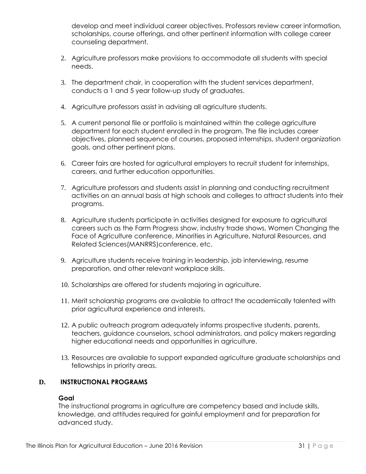develop and meet individual career objectives. Professors review career information, scholarships, course offerings, and other pertinent information with college career counseling department.

- 2. Agriculture professors make provisions to accommodate all students with special needs.
- 3. The department chair, in cooperation with the student services department, conducts a 1 and 5 year follow-up study of graduates.
- 4. Agriculture professors assist in advising all agriculture students.
- 5. A current personal file or portfolio is maintained within the college agriculture department for each student enrolled in the program. The file includes career objectives, planned sequence of courses, proposed internships, student organization goals, and other pertinent plans.
- 6. Career fairs are hosted for agricultural employers to recruit student for internships, careers, and further education opportunities.
- 7. Agriculture professors and students assist in planning and conducting recruitment activities on an annual basis at high schools and colleges to attract students into their programs.
- 8. Agriculture students participate in activities designed for exposure to agricultural careers such as the Farm Progress show, industry trade shows, Women Changing the Face of Agriculture conference, Minorities in Agriculture, Natural Resources, and Related Sciences(MANRRS)conference, etc.
- 9. Agriculture students receive training in leadership, job interviewing, resume preparation, and other relevant workplace skills.
- 10. Scholarships are offered for students majoring in agriculture.
- 11. Merit scholarship programs are available to attract the academically talented with prior agricultural experience and interests.
- 12. A public outreach program adequately informs prospective students, parents, teachers, guidance counselors, school administrators, and policy makers regarding higher educational needs and opportunities in agriculture.
- 13. Resources are available to support expanded agriculture graduate scholarships and fellowships in priority areas.

#### **D. INSTRUCTIONAL PROGRAMS**

#### **Goal**

The instructional programs in agriculture are competency based and include skills, knowledge, and attitudes required for gainful employment and for preparation for advanced study.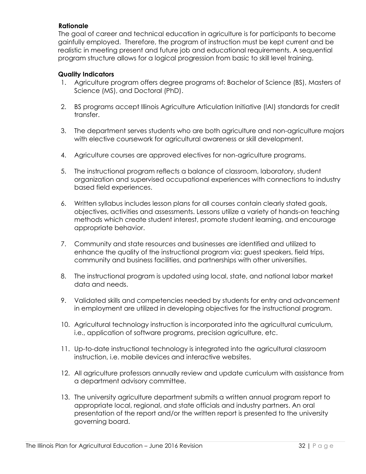#### **Rationale**

The goal of career and technical education in agriculture is for participants to become gainfully employed. Therefore, the program of instruction must be kept current and be realistic in meeting present and future job and educational requirements. A sequential program structure allows for a logical progression from basic to skill level training.

- 1. Agriculture program offers degree programs of: Bachelor of Science (BS), Masters of Science (MS), and Doctoral (PhD).
- 2. BS programs accept Illinois Agriculture Articulation Initiative (IAI) standards for credit transfer.
- 3. The department serves students who are both agriculture and non-agriculture majors with elective coursework for agricultural awareness or skill development.
- 4. Agriculture courses are approved electives for non-agriculture programs.
- 5. The instructional program reflects a balance of classroom, laboratory, student organization and supervised occupational experiences with connections to industry based field experiences.
- 6. Written syllabus includes lesson plans for all courses contain clearly stated goals, objectives, activities and assessments. Lessons utilize a variety of hands-on teaching methods which create student interest, promote student learning, and encourage appropriate behavior.
- 7. Community and state resources and businesses are identified and utilized to enhance the quality of the instructional program via: guest speakers, field trips, community and business facilities, and partnerships with other universities.
- 8. The instructional program is updated using local, state, and national labor market data and needs.
- 9. Validated skills and competencies needed by students for entry and advancement in employment are utilized in developing objectives for the instructional program.
- 10. Agricultural technology instruction is incorporated into the agricultural curriculum, i.e., application of software programs, precision agriculture, etc.
- 11. Up-to-date instructional technology is integrated into the agricultural classroom instruction, i.e. mobile devices and interactive websites.
- 12. All agriculture professors annually review and update curriculum with assistance from a department advisory committee.
- 13. The university agriculture department submits a written annual program report to appropriate local, regional, and state officials and industry partners. An oral presentation of the report and/or the written report is presented to the university governing board.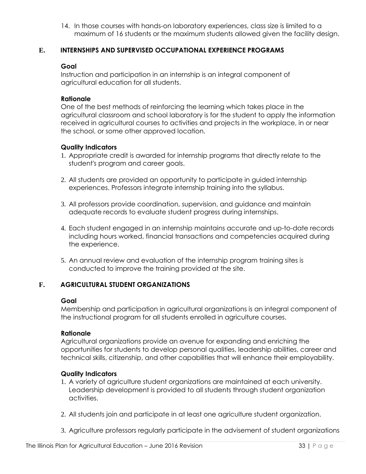14. In those courses with hands-on laboratory experiences, class size is limited to a maximum of 16 students or the maximum students allowed given the facility design.

#### **E. INTERNSHIPS AND SUPERVISED OCCUPATIONAL EXPERIENCE PROGRAMS**

#### **Goal**

Instruction and participation in an internship is an integral component of agricultural education for all students.

#### **Rationale**

One of the best methods of reinforcing the learning which takes place in the agricultural classroom and school laboratory is for the student to apply the information received in agricultural courses to activities and projects in the workplace, in or near the school, or some other approved location.

#### **Quality Indicators**

- 1. Appropriate credit is awarded for internship programs that directly relate to the student's program and career goals.
- 2. All students are provided an opportunity to participate in guided internship experiences. Professors integrate internship training into the syllabus.
- 3. All professors provide coordination, supervision, and guidance and maintain adequate records to evaluate student progress during internships.
- 4. Each student engaged in an internship maintains accurate and up-to-date records including hours worked, financial transactions and competencies acquired during the experience.
- 5. An annual review and evaluation of the internship program training sites is conducted to improve the training provided at the site.

#### **F. AGRICULTURAL STUDENT ORGANIZATIONS**

#### **Goal**

Membership and participation in agricultural organizations is an integral component of the instructional program for all students enrolled in agriculture courses.

#### **Rationale**

Agricultural organizations provide an avenue for expanding and enriching the opportunities for students to develop personal qualities, leadership abilities, career and technical skills, citizenship, and other capabilities that will enhance their employability.

- 1. A variety of agriculture student organizations are maintained at each university. Leadership development is provided to all students through student organization activities.
- 2. All students join and participate in at least one agriculture student organization.
- 3. Agriculture professors regularly participate in the advisement of student organizations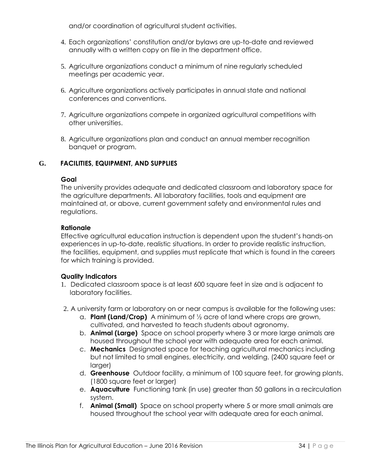and/or coordination of agricultural student activities.

- 4. Each organizations' constitution and/or bylaws are up-to-date and reviewed annually with a written copy on file in the department office.
- 5. Agriculture organizations conduct a minimum of nine regularly scheduled meetings per academic year.
- 6. Agriculture organizations actively participates in annual state and national conferences and conventions.
- 7. Agriculture organizations compete in organized agricultural competitions with other universities.
- 8. Agriculture organizations plan and conduct an annual member recognition banquet or program.

#### **G. FACILITIES, EQUIPMENT, AND SUPPLIES**

#### **Goal**

The university provides adequate and dedicated classroom and laboratory space for the agriculture departments. All laboratory facilities, tools and equipment are maintained at, or above, current government safety and environmental rules and regulations.

#### **Rationale**

Effective agricultural education instruction is dependent upon the student's hands-on experiences in up-to-date, realistic situations. In order to provide realistic instruction, the facilities, equipment, and supplies must replicate that which is found in the careers for which training is provided.

- 1. Dedicated classroom space is at least 600 square feet in size and is adjacent to laboratory facilities.
- 2. A university farm or laboratory on or near campus is available for the following uses:
	- a. **Plant (Land/Crop)** A minimum of ½ acre of land where crops are grown, cultivated, and harvested to teach students about agronomy.
	- b. **Animal (Large)** Space on school property where 3 or more large animals are housed throughout the school year with adequate area for each animal.
	- c. **Mechanics** Designated space for teaching agricultural mechanics including but not limited to small engines, electricity, and welding. (2400 square feet or larger)
	- d. **Greenhouse** Outdoor facility, a minimum of 100 square feet, for growing plants. (1800 square feet or larger)
	- e. **Aquaculture** Functioning tank (in use) greater than 50 gallons in a recirculation system.
	- f. **Animal (Small)** Space on school property where 5 or more small animals are housed throughout the school year with adequate area for each animal.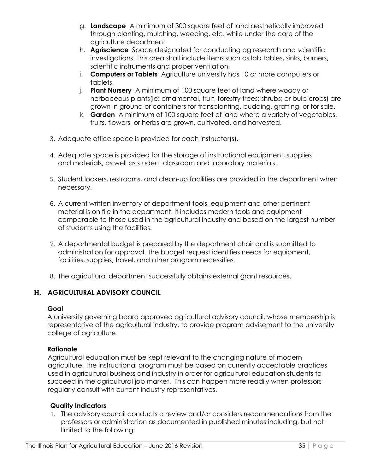- g. **Landscape** A minimum of 300 square feet of land aesthetically improved through planting, mulching, weeding, etc. while under the care of the agriculture department.
- h. **Agriscience** Space designated for conducting ag research and scientific investigations. This area shall include items such as lab tables, sinks, burners, scientific instruments and proper ventilation.
- i. **Computers or Tablets** Agriculture university has 10 or more computers or tablets.
- j. **Plant Nursery** A minimum of 100 square feet of land where woody or herbaceous plants(ie: ornamental, fruit, forestry trees; shrubs; or bulb crops) are grown in ground or containers for transplanting, budding, grafting, or for sale.
- k. **Garden** A minimum of 100 square feet of land where a variety of vegetables, fruits, flowers, or herbs are grown, cultivated, and harvested.
- 3. Adequate office space is provided for each instructor(s).
- 4. Adequate space is provided for the storage of instructional equipment, supplies and materials, as well as student classroom and laboratory materials.
- 5. Student lockers, restrooms, and clean-up facilities are provided in the department when necessary.
- 6. A current written inventory of department tools, equipment and other pertinent material is on file in the department. It includes modern tools and equipment comparable to those used in the agricultural industry and based on the largest number of students using the facilities.
- 7. A departmental budget is prepared by the department chair and is submitted to administration for approval. The budget request identifies needs for equipment, facilities, supplies, travel, and other program necessities.
- 8. The agricultural department successfully obtains external grant resources.

# **H. AGRICULTURAL ADVISORY COUNCIL**

#### **Goal**

A university governing board approved agricultural advisory council, whose membership is representative of the agricultural industry, to provide program advisement to the university college of agriculture.

#### **Rationale**

Agricultural education must be kept relevant to the changing nature of modern agriculture. The instructional program must be based on currently acceptable practices used in agricultural business and industry in order for agricultural education students to succeed in the agricultural job market. This can happen more readily when professors regularly consult with current industry representatives.

#### **Quality Indicators**

1. The advisory council conducts a review and/or considers recommendations from the professors or administration as documented in published minutes including, but not limited to the following: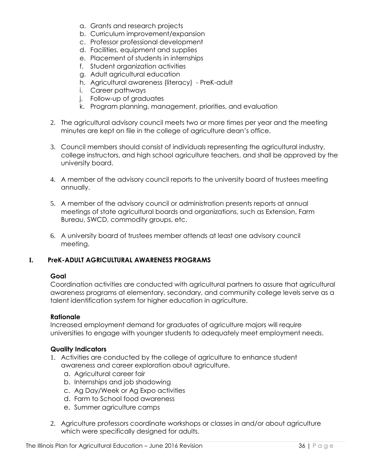- a. Grants and research projects
- b. Curriculum improvement/expansion
- c. Professor professional development
- d. Facilities, equipment and supplies
- e. Placement of students in internships
- f. Student organization activities
- g. Adult agricultural education
- h. Agricultural awareness (literacy) PreK-adult
- i. Career pathways
- j. Follow-up of graduates
- k. Program planning, management, priorities, and evaluation
- 2. The agricultural advisory council meets two or more times per year and the meeting minutes are kept on file in the college of agriculture dean's office.
- 3. Council members should consist of individuals representing the agricultural industry, college instructors, and high school agriculture teachers, and shall be approved by the university board.
- 4. A member of the advisory council reports to the university board of trustees meeting annually.
- 5. A member of the advisory council or administration presents reports at annual meetings of state agricultural boards and organizations, such as Extension, Farm Bureau, SWCD, commodity groups, etc.
- 6. A university board of trustees member attends at least one advisory council meeting.

#### **I. PreK-ADULT AGRICULTURAL AWARENESS PROGRAMS**

#### **Goal**

Coordination activities are conducted with agricultural partners to assure that agricultural awareness programs at elementary, secondary, and community college levels serve as a talent identification system for higher education in agriculture.

#### **Rationale**

Increased employment demand for graduates of agriculture majors will require universities to engage with younger students to adequately meet employment needs.

- 1. Activities are conducted by the college of agriculture to enhance student awareness and career exploration about agriculture.
	- a. Agricultural career fair
	- b. Internships and job shadowing
	- c. Ag Day/Week or Ag Expo activities
	- d. Farm to School food awareness
	- e. Summer agriculture camps
- 2. Agriculture professors coordinate workshops or classes in and/or about agriculture which were specifically designed for adults.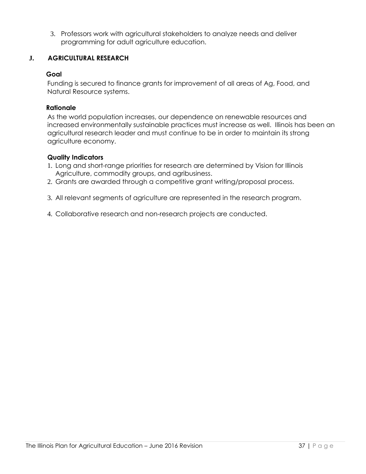3. Professors work with agricultural stakeholders to analyze needs and deliver programming for adult agriculture education.

#### **J. AGRICULTURAL RESEARCH**

#### **Goal**

Funding is secured to finance grants for improvement of all areas of Ag, Food, and Natural Resource systems.

#### **Rationale**

As the world population increases, our dependence on renewable resources and increased environmentally sustainable practices must increase as well. Illinois has been an agricultural research leader and must continue to be in order to maintain its strong agriculture economy.

- 1. Long and short-range priorities for research are determined by Vision for Illinois Agriculture, commodity groups, and agribusiness.
- 2. Grants are awarded through a competitive grant writing/proposal process.
- 3. All relevant segments of agriculture are represented in the research program.
- 4. Collaborative research and non-research projects are conducted.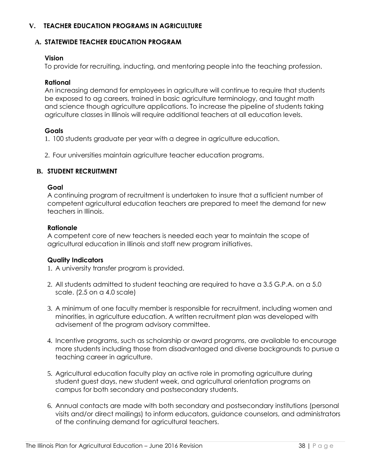#### **V. TEACHER EDUCATION PROGRAMS IN AGRICULTURE**

#### **A. STATEWIDE TEACHER EDUCATION PROGRAM**

#### **Vision**

To provide for recruiting, inducting, and mentoring people into the teaching profession.

#### **Rational**

An increasing demand for employees in agriculture will continue to require that students be exposed to ag careers, trained in basic agriculture terminology, and taught math and science though agriculture applications. To increase the pipeline of students taking agriculture classes in Illinois will require additional teachers at all education levels.

#### **Goals**

1. 100 students graduate per year with a degree in agriculture education.

2. Four universities maintain agriculture teacher education programs.

#### **B. STUDENT RECRUITMENT**

#### **Goal**

A continuing program of recruitment is undertaken to insure that a sufficient number of competent agricultural education teachers are prepared to meet the demand for new teachers in Illinois.

#### **Rationale**

A competent core of new teachers is needed each year to maintain the scope of agricultural education in Illinois and staff new program initiatives.

#### **Quality Indicators**

1. A university transfer program is provided.

- 2. All students admitted to student teaching are required to have a 3.5 G.P.A. on a 5.0 scale. (2.5 on a 4.0 scale)
- 3. A minimum of one faculty member is responsible for recruitment, including women and minorities, in agriculture education. A written recruitment plan was developed with advisement of the program advisory committee.
- 4. Incentive programs, such as scholarship or award programs, are available to encourage more students including those from disadvantaged and diverse backgrounds to pursue a teaching career in agriculture.
- 5. Agricultural education faculty play an active role in promoting agriculture during student guest days, new student week, and agricultural orientation programs on campus for both secondary and postsecondary students.
- 6. Annual contacts are made with both secondary and postsecondary institutions (personal visits and/or direct mailings) to inform educators, guidance counselors, and administrators of the continuing demand for agricultural teachers.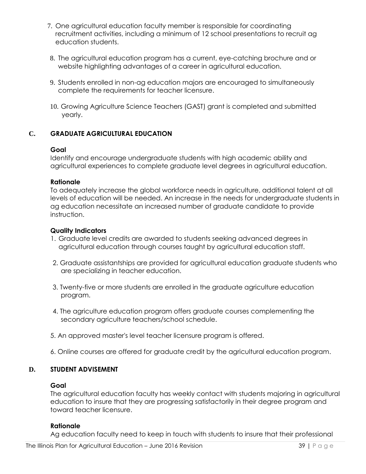- 7. One agricultural education faculty member is responsible for coordinating recruitment activities, including a minimum of 12 school presentations to recruit ag education students.
- 8. The agricultural education program has a current, eye-catching brochure and or website highlighting advantages of a career in agricultural education.
- 9. Students enrolled in non-ag education majors are encouraged to simultaneously complete the requirements for teacher licensure.
- 10. Growing Agriculture Science Teachers (GAST) grant is completed and submitted yearly.

#### **C. GRADUATE AGRICULTURAL EDUCATION**

#### **Goal**

Identify and encourage undergraduate students with high academic ability and agricultural experiences to complete graduate level degrees in agricultural education.

#### **Rationale**

To adequately increase the global workforce needs in agriculture, additional talent at all levels of education will be needed. An increase in the needs for undergraduate students in ag education necessitate an increased number of graduate candidate to provide instruction.

#### **Quality Indicators**

- 1. Graduate level credits are awarded to students seeking advanced degrees in agricultural education through courses taught by agricultural education staff.
- 2. Graduate assistantships are provided for agricultural education graduate students who are specializing in teacher education.
- 3. Twenty-five or more students are enrolled in the graduate agriculture education program.
- 4. The agriculture education program offers graduate courses complementing the secondary agriculture teachers/school schedule.
- 5. An approved master's level teacher licensure program is offered.
- 6. Online courses are offered for graduate credit by the agricultural education program.

#### **D. STUDENT ADVISEMENT**

#### **Goal**

The agricultural education faculty has weekly contact with students majoring in agricultural education to insure that they are progressing satisfactorily in their degree program and toward teacher licensure.

#### **Rationale**

Ag education faculty need to keep in touch with students to insure that their professional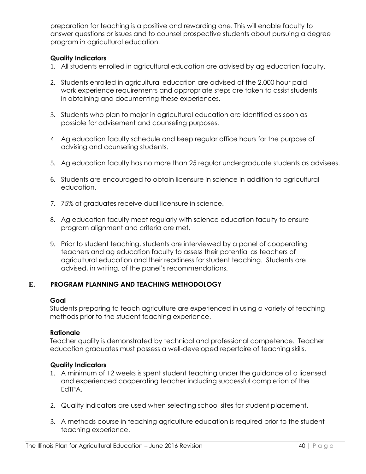preparation for teaching is a positive and rewarding one. This will enable faculty to answer questions or issues and to counsel prospective students about pursuing a degree program in agricultural education.

#### **Quality Indicators**

- 1. All students enrolled in agricultural education are advised by ag education faculty.
- 2. Students enrolled in agricultural education are advised of the 2,000 hour paid work experience requirements and appropriate steps are taken to assist students in obtaining and documenting these experiences.
- 3. Students who plan to major in agricultural education are identified as soon as possible for advisement and counseling purposes.
- 4 Ag education faculty schedule and keep regular office hours for the purpose of advising and counseling students.
- 5. Ag education faculty has no more than 25 regular undergraduate students as advisees.
- 6. Students are encouraged to obtain licensure in science in addition to agricultural education.
- 7. 75% of graduates receive dual licensure in science.
- 8. Ag education faculty meet regularly with science education faculty to ensure program alignment and criteria are met.
- 9. Prior to student teaching, students are interviewed by a panel of cooperating teachers and ag education faculty to assess their potential as teachers of agricultural education and their readiness for student teaching. Students are advised, in writing, of the panel's recommendations.

#### **E. PROGRAM PLANNING AND TEACHING METHODOLOGY**

#### **Goal**

Students preparing to teach agriculture are experienced in using a variety of teaching methods prior to the student teaching experience.

#### **Rationale**

Teacher quality is demonstrated by technical and professional competence. Teacher education graduates must possess a well-developed repertoire of teaching skills.

- 1. A minimum of 12 weeks is spent student teaching under the guidance of a licensed and experienced cooperating teacher including successful completion of the EdTPA.
- 2. Quality indicators are used when selecting school sites for student placement.
- 3. A methods course in teaching agriculture education is required prior to the student teaching experience.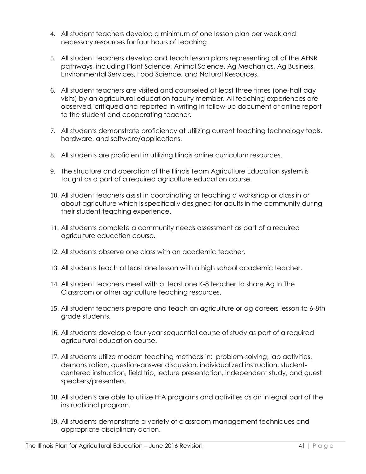- 4. All student teachers develop a minimum of one lesson plan per week and necessary resources for four hours of teaching.
- 5. All student teachers develop and teach lesson plans representing all of the AFNR pathways, including Plant Science, Animal Science, Ag Mechanics, Ag Business, Environmental Services, Food Science, and Natural Resources.
- 6. All student teachers are visited and counseled at least three times (one-half day visits) by an agricultural education faculty member. All teaching experiences are observed, critiqued and reported in writing in follow-up document or online report to the student and cooperating teacher.
- 7. All students demonstrate proficiency at utilizing current teaching technology tools, hardware, and software/applications.
- 8. All students are proficient in utilizing Illinois online curriculum resources.
- 9. The structure and operation of the Illinois Team Agriculture Education system is taught as a part of a required agriculture education course.
- 10. All student teachers assist in coordinating or teaching a workshop or class in or about agriculture which is specifically designed for adults in the community during their student teaching experience.
- 11. All students complete a community needs assessment as part of a required agriculture education course.
- 12. All students observe one class with an academic teacher.
- 13. All students teach at least one lesson with a high school academic teacher.
- 14. All student teachers meet with at least one K-8 teacher to share Ag In The Classroom or other agriculture teaching resources.
- 15. All student teachers prepare and teach an agriculture or ag careers lesson to 6-8th grade students.
- 16. All students develop a four-year sequential course of study as part of a required agricultural education course.
- 17. All students utilize modern teaching methods in: problem-solving, lab activities, demonstration, question-answer discussion, individualized instruction, studentcentered instruction, field trip, lecture presentation, independent study, and guest speakers/presenters.
- 18. All students are able to utilize FFA programs and activities as an integral part of the instructional program.
- 19. All students demonstrate a variety of classroom management techniques and appropriate disciplinary action.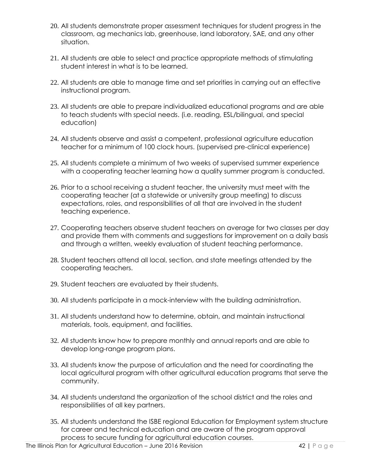- 20. All students demonstrate proper assessment techniques for student progress in the classroom, ag mechanics lab, greenhouse, land laboratory, SAE, and any other situation.
- 21. All students are able to select and practice appropriate methods of stimulating student interest in what is to be learned.
- 22. All students are able to manage time and set priorities in carrying out an effective instructional program.
- 23. All students are able to prepare individualized educational programs and are able to teach students with special needs. (i.e. reading, ESL/bilingual, and special education)
- 24. All students observe and assist a competent, professional agriculture education teacher for a minimum of 100 clock hours. (supervised pre-clinical experience)
- 25. All students complete a minimum of two weeks of supervised summer experience with a cooperating teacher learning how a quality summer program is conducted.
- 26. Prior to a school receiving a student teacher, the university must meet with the cooperating teacher (at a statewide or university group meeting) to discuss expectations, roles, and responsibilities of all that are involved in the student teaching experience.
- 27. Cooperating teachers observe student teachers on average for two classes per day and provide them with comments and suggestions for improvement on a daily basis and through a written, weekly evaluation of student teaching performance.
- 28. Student teachers attend all local, section, and state meetings attended by the cooperating teachers.
- 29. Student teachers are evaluated by their students.
- 30. All students participate in a mock-interview with the building administration.
- 31. All students understand how to determine, obtain, and maintain instructional materials, tools, equipment, and facilities.
- 32. All students know how to prepare monthly and annual reports and are able to develop long-range program plans.
- 33. All students know the purpose of articulation and the need for coordinating the local agricultural program with other agricultural education programs that serve the community.
- 34. All students understand the organization of the school district and the roles and responsibilities of all key partners.
- 35. All students understand the ISBE regional Education for Employment system structure for career and technical education and are aware of the program approval process to secure funding for agricultural education courses.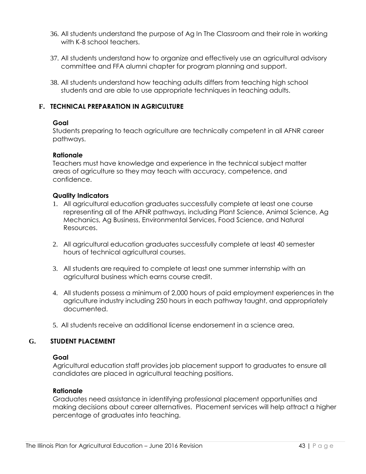- 36. All students understand the purpose of Ag In The Classroom and their role in working with K-8 school teachers.
- 37. All students understand how to organize and effectively use an agricultural advisory committee and FFA alumni chapter for program planning and support.
- 38. All students understand how teaching adults differs from teaching high school students and are able to use appropriate techniques in teaching adults.

#### **F. TECHNICAL PREPARATION IN AGRICULTURE**

#### **Goal**

Students preparing to teach agriculture are technically competent in all AFNR career pathways.

#### **Rationale**

Teachers must have knowledge and experience in the technical subject matter areas of agriculture so they may teach with accuracy, competence, and confidence.

#### **Quality Indicators**

- 1. All agricultural education graduates successfully complete at least one course representing all of the AFNR pathways, including Plant Science, Animal Science, Ag Mechanics, Ag Business, Environmental Services, Food Science, and Natural Resources.
- 2. All agricultural education graduates successfully complete at least 40 semester hours of technical agricultural courses.
- 3. All students are required to complete at least one summer internship with an agricultural business which earns course credit.
- 4. All students possess a minimum of 2,000 hours of paid employment experiences in the agriculture industry including 250 hours in each pathway taught, and appropriately documented.
- 5. All students receive an additional license endorsement in a science area.

#### **G. STUDENT PLACEMENT**

#### **Goal**

Agricultural education staff provides job placement support to graduates to ensure all candidates are placed in agricultural teaching positions.

#### **Rationale**

Graduates need assistance in identifying professional placement opportunities and making decisions about career alternatives. Placement services will help attract a higher percentage of graduates into teaching.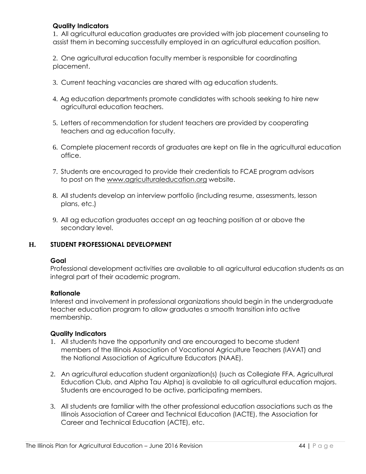#### **Quality Indicators**

1. All agricultural education graduates are provided with job placement counseling to assist them in becoming successfully employed in an agricultural education position.

2. One agricultural education faculty member is responsible for coordinating placement.

- 3. Current teaching vacancies are shared with ag education students.
- 4. Ag education departments promote candidates with schools seeking to hire new agricultural education teachers.
- 5. Letters of recommendation for student teachers are provided by cooperating teachers and ag education faculty.
- 6. Complete placement records of graduates are kept on file in the agricultural education office.
- 7. Students are encouraged to provide their credentials to FCAE program advisors to post on the [www.agriculturaleducation.org](http://www.agriculturaleducation.org/) website.
- 8. All students develop an interview portfolio (including resume, assessments, lesson plans, etc.)
- 9. All ag education graduates accept an ag teaching position at or above the secondary level.

#### **H. STUDENT PROFESSIONAL DEVELOPMENT**

#### **Goal**

Professional development activities are available to all agricultural education students as an integral part of their academic program.

#### **Rationale**

Interest and involvement in professional organizations should begin in the undergraduate teacher education program to allow graduates a smooth transition into active membership.

- 1. All students have the opportunity and are encouraged to become student members of the Illinois Association of Vocational Agriculture Teachers (IAVAT) and the National Association of Agriculture Educators (NAAE).
- 2. An agricultural education student organization(s) (such as Collegiate FFA, Agricultural Education Club, and Alpha Tau Alpha) is available to all agricultural education majors. Students are encouraged to be active, participating members.
- 3. All students are familiar with the other professional education associations such as the Illinois Association of Career and Technical Education (IACTE), the Association for Career and Technical Education (ACTE), etc.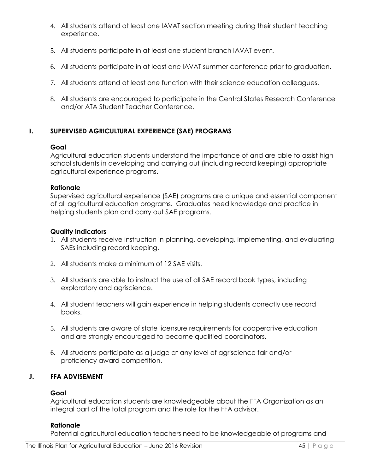- 4. All students attend at least one IAVAT section meeting during their student teaching experience.
- 5. All students participate in at least one student branch IAVAT event.
- 6. All students participate in at least one IAVAT summer conference prior to graduation.
- 7. All students attend at least one function with their science education colleagues.
- 8. All students are encouraged to participate in the Central States Research Conference and/or ATA Student Teacher Conference.

#### **I. SUPERVISED AGRICULTURAL EXPERIENCE (SAE) PROGRAMS**

#### **Goal**

Agricultural education students understand the importance of and are able to assist high school students in developing and carrying out (including record keeping) appropriate agricultural experience programs.

#### **Rationale**

Supervised agricultural experience (SAE) programs are a unique and essential component of all agricultural education programs. Graduates need knowledge and practice in helping students plan and carry out SAE programs.

#### **Quality Indicators**

- 1. All students receive instruction in planning, developing, implementing, and evaluating SAEs including record keeping.
- 2. All students make a minimum of 12 SAE visits.
- 3. All students are able to instruct the use of all SAE record book types, including exploratory and agriscience.
- 4. All student teachers will gain experience in helping students correctly use record books.
- 5. All students are aware of state licensure requirements for cooperative education and are strongly encouraged to become qualified coordinators.
- 6. All students participate as a judge at any level of agriscience fair and/or proficiency award competition.

#### **J. FFA ADVISEMENT**

#### **Goal**

Agricultural education students are knowledgeable about the FFA Organization as an integral part of the total program and the role for the FFA advisor.

#### **Rationale**

Potential agricultural education teachers need to be knowledgeable of programs and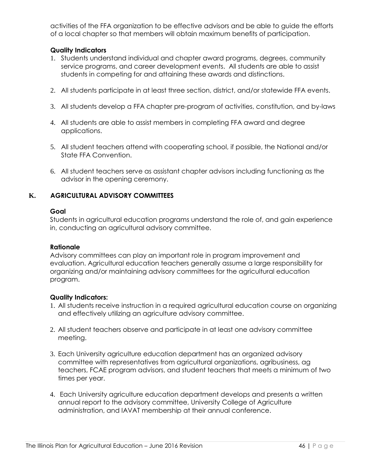activities of the FFA organization to be effective advisors and be able to guide the efforts of a local chapter so that members will obtain maximum benefits of participation.

#### **Quality Indicators**

- 1. Students understand individual and chapter award programs, degrees, community service programs, and career development events. All students are able to assist students in competing for and attaining these awards and distinctions.
- 2. All students participate in at least three section, district, and/or statewide FFA events.
- 3. All students develop a FFA chapter pre-program of activities, constitution, and by-laws
- 4. All students are able to assist members in completing FFA award and degree applications.
- 5. All student teachers attend with cooperating school, if possible, the National and/or State FFA Convention.
- 6. All student teachers serve as assistant chapter advisors including functioning as the advisor in the opening ceremony.

#### **K. AGRICULTURAL ADVISORY COMMITTEES**

#### **Goal**

Students in agricultural education programs understand the role of, and gain experience in, conducting an agricultural advisory committee.

#### **Rationale**

Advisory committees can play an important role in program improvement and evaluation. Agricultural education teachers generally assume a large responsibility for organizing and/or maintaining advisory committees for the agricultural education program.

- 1. All students receive instruction in a required agricultural education course on organizing and effectively utilizing an agriculture advisory committee.
- 2. All student teachers observe and participate in at least one advisory committee meeting.
- 3. Each University agriculture education department has an organized advisory committee with representatives from agricultural organizations, agribusiness, ag teachers, FCAE program advisors, and student teachers that meets a minimum of two times per year.
- 4. Each University agriculture education department develops and presents a written annual report to the advisory committee, University College of Agriculture administration, and IAVAT membership at their annual conference.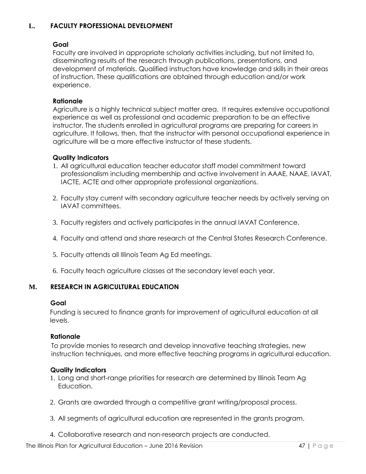#### **L. FACULTY PROFESSIONAL DEVELOPMENT**

# **Goal**

Faculty are involved in appropriate scholarly activities including, but not limited to, disseminating results of the research through publications, presentations, and development of materials. Qualified instructors have knowledge and skills in their areas of instruction. These qualifications are obtained through education and/or work experience.

#### **Rationale**

Agriculture is a highly technical subject matter area. It requires extensive occupational experience as well as professional and academic preparation to be an effective instructor. The students enrolled in agricultural programs are preparing for careers in agriculture. It follows, then, that the instructor with personal occupational experience in agriculture will be a more effective instructor of these students.

#### **Quality Indicators**

- 1. All agricultural education teacher educator staff model commitment toward professionalism including membership and active involvement in AAAE, NAAE, IAVAT, IACTE, ACTE and other appropriate professional organizations.
- 2. Faculty stay current with secondary agriculture teacher needs by actively serving on IAVAT committees.
- 3. Faculty registers and actively participates in the annual IAVAT Conference.
- 4. Faculty and attend and share research at the Central States Research Conference.
- 5. Faculty attends all Illinois Team Ag Ed meetings.
- 6. Faculty teach agriculture classes at the secondary level each year.

#### **M. RESEARCH IN AGRICULTURAL EDUCATION**

#### **Goal**

Funding is secured to finance grants for improvement of agricultural education at all levels.

#### **Rationale**

 To provide monies to research and develop innovative teaching strategies, new instruction techniques, and more effective teaching programs in agricultural education.

- 1. Long and short-range priorities for research are determined by Illinois Team Ag Education.
- 2. Grants are awarded through a competitive grant writing/proposal process.
- 3. All segments of agricultural education are represented in the grants program.
- 4. Collaborative research and non-research projects are conducted.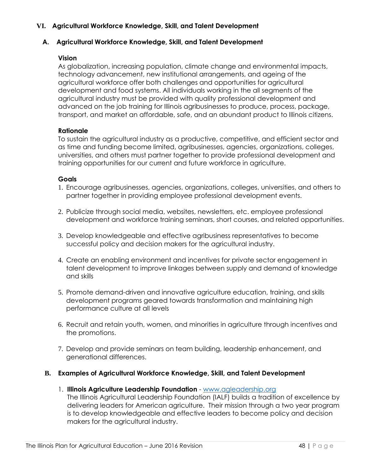#### **VI. Agricultural Workforce Knowledge, Skill, and Talent Development**

#### **A. Agricultural Workforce Knowledge, Skill, and Talent Development**

#### **Vision**

As globalization, increasing population, climate change and environmental impacts, technology advancement, new institutional arrangements, and ageing of the agricultural workforce offer both challenges and opportunities for agricultural development and food systems. All individuals working in the all segments of the agricultural industry must be provided with quality professional development and advanced on the job training for Illinois agribusinesses to produce, process, package, transport, and market an affordable, safe, and an abundant product to Illinois citizens.

#### **Rationale**

To sustain the agricultural industry as a productive, competitive, and efficient sector and as time and funding become limited, agribusinesses, agencies, organizations, colleges, universities, and others must partner together to provide professional development and training opportunities for our current and future workforce in agriculture.

#### **Goals**

- 1. Encourage agribusinesses, agencies, organizations, colleges, universities, and others to partner together in providing employee professional development events.
- 2. Publicize through social media, websites, newsletters, etc. employee professional development and workforce training seminars, short courses, and related opportunities.
- 3. Develop knowledgeable and effective agribusiness representatives to become successful policy and decision makers for the agricultural industry.
- 4. Create an enabling environment and incentives for private sector engagement in talent development to improve linkages between supply and demand of knowledge and skills
- 5. Promote demand-driven and innovative agriculture education, training, and skills development programs geared towards transformation and maintaining high performance culture at all levels
- 6. Recruit and retain youth, women, and minorities in agriculture through incentives and the promotions.
- 7. Develop and provide seminars on team building, leadership enhancement, and generational differences.

#### **B. Examples of Agricultural Workforce Knowledge, Skill, and Talent Development**

1. **Illinois Agriculture Leadership Foundation** - [www.agleadership.org](http://www.agleadership.org/)

 The Illinois Agricultural Leadership Foundation (IALF) builds a tradition of excellence by delivering leaders for American agriculture. Their mission through a two year program is to develop knowledgeable and effective leaders to become policy and decision makers for the agricultural industry.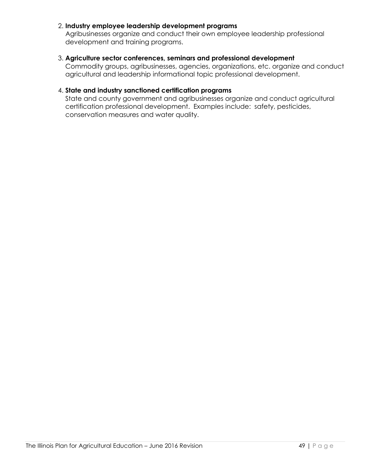#### 2. **Industry employee leadership development programs**

 Agribusinesses organize and conduct their own employee leadership professional development and training programs.

#### 3. **Agriculture sector conferences, seminars and professional development**

 Commodity groups, agribusinesses, agencies, organizations, etc. organize and conduct agricultural and leadership informational topic professional development.

#### 4. **State and industry sanctioned certification programs**

 State and county government and agribusinesses organize and conduct agricultural certification professional development. Examples include: safety, pesticides, conservation measures and water quality.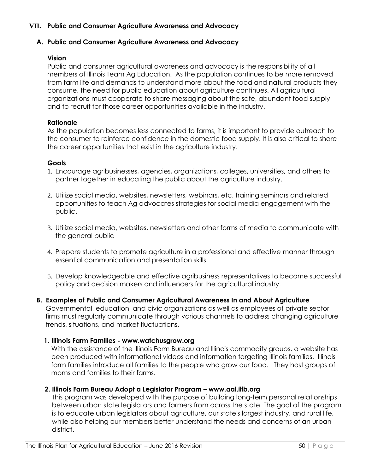#### **VII. Public and Consumer Agriculture Awareness and Advocacy**

#### **A. Public and Consumer Agriculture Awareness and Advocacy**

#### **Vision**

Public and consumer agricultural awareness and advocacy is the responsibility of all members of Illinois Team Ag Education. As the population continues to be more removed from farm life and demands to understand more about the food and natural products they consume, the need for public education about agriculture continues. All agricultural organizations must cooperate to share messaging about the safe, abundant food supply and to recruit for those career opportunities available in the industry.

#### **Rationale**

As the population becomes less connected to farms, it is important to provide outreach to the consumer to reinforce confidence in the domestic food supply. It is also critical to share the career opportunities that exist in the agriculture industry.

#### **Goals**

- 1. Encourage agribusinesses, agencies, organizations, colleges, universities, and others to partner together in educating the public about the agriculture industry.
- 2. Utilize social media, websites, newsletters, webinars, etc. training seminars and related opportunities to teach Ag advocates strategies for social media engagement with the public.
- 3. Utilize social media, websites, newsletters and other forms of media to communicate with the general public
- 4. Prepare students to promote agriculture in a professional and effective manner through essential communication and presentation skills.
- 5. Develop knowledgeable and effective agribusiness representatives to become successful policy and decision makers and influencers for the agricultural industry.
- **B. Examples of Public and Consumer Agricultural Awareness In and About Agriculture**

 Governmental, education, and civic organizations as well as employees of private sector firms must regularly communicate through various channels to address changing agriculture trends, situations, and market fluctuations.

#### **1. Illinois Farm Families - [www.watchusgrow.org](http://www.watchusgrow.org/)**

 With the assistance of the Illinois Farm Bureau and Illinois commodity groups, a website has been produced with informational videos and information targeting Illinois families. Illinois farm families introduce all families to the people who grow our food. They host groups of moms and families to their farms.

#### **2. Illinois Farm Bureau Adopt a Legislator Program – www.aal.ilfb.org**

 This program was developed with the purpose of building long-term personal relationships between urban state legislators and farmers from across the state. The goal of the program is to educate urban legislators about agriculture, our state's largest industry, and rural life, while also helping our members better understand the needs and concerns of an urban district.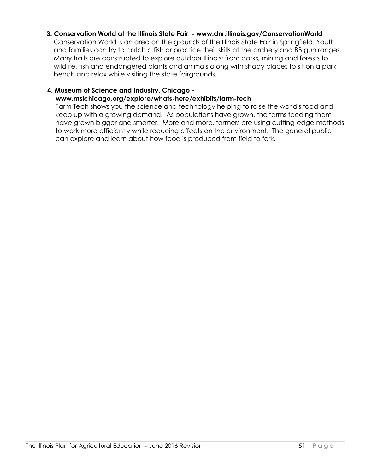#### **3. Conservation World at the Illinois State Fair - [www.dnr.illinois.gov/ConservationWorld](http://www.dnr.illinois.gov/ConservationWorld)**

 Conservation World is an area on the grounds of the Illinois State Fair in Springfield. Youth and families can try to catch a fish or practice their skills at the archery and BB gun ranges. Many trails are constructed to explore outdoor Illinois: from parks, mining and forests to wildlife, fish and endangered plants and animals along with shady places to sit on a park bench and relax while visiting the state fairgrounds.

#### **4. Museum of Science and Industry, Chicago -**

#### **www.msichicago.org/explore/whats-here/exhibits/farm-tech**

 Farm Tech shows you the science and technology helping to raise the world's food and keep up with a growing demand. As populations have grown, the farms feeding them have grown bigger and smarter. More and more, farmers are using cutting-edge methods to work more efficiently while reducing effects on the environment. The general public can explore and learn about how food is produced from field to fork.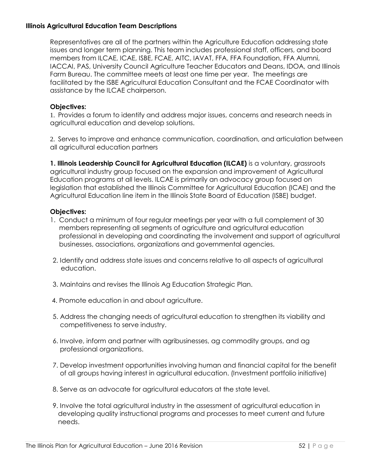#### **Illinois Agricultural Education Team Descriptions**

Representatives are all of the partners within the Agriculture Education addressing state issues and longer term planning. This team includes professional staff, officers, and board members from ILCAE, ICAE, ISBE, FCAE, AITC, IAVAT, FFA, FFA Foundation, FFA Alumni, IACCAI, PAS, University Council Agriculture Teacher Educators and Deans, IDOA, and Illinois Farm Bureau. The committee meets at least one time per year. The meetings are facilitated by the ISBE Agricultural Education Consultant and the FCAE Coordinator with assistance by the ILCAE chairperson.

#### **Objectives:**

1. Provides a forum to identify and address major issues, concerns and research needs in agricultural education and develop solutions.

2. Serves to improve and enhance communication, coordination, and articulation between all agricultural education partners

**1. Illinois Leadership Council for Agricultural Education (ILCAE)** is a voluntary, grassroots agricultural industry group focused on the expansion and improvement of Agricultural Education programs at all levels. ILCAE is primarily an advocacy group focused on legislation that established the Illinois Committee for Agricultural Education (ICAE) and the Agricultural Education line item in the Illinois State Board of Education (ISBE) budget.

- 1. Conduct a minimum of four regular meetings per year with a full complement of 30 members representing all segments of agriculture and agricultural education professional in developing and coordinating the involvement and support of agricultural businesses, associations, organizations and governmental agencies.
- 2. Identify and address state issues and concerns relative to all aspects of agricultural education.
- 3. Maintains and revises the Illinois Ag Education Strategic Plan.
- 4. Promote education in and about agriculture.
- 5. Address the changing needs of agricultural education to strengthen its viability and competitiveness to serve industry.
- 6. Involve, inform and partner with agribusinesses, ag commodity groups, and ag professional organizations.
- 7. Develop investment opportunities involving human and financial capital for the benefit of all groups having interest in agricultural education. (Investment portfolio initiative)
- 8. Serve as an advocate for agricultural educators at the state level.
- 9. Involve the total agricultural industry in the assessment of agricultural education in developing quality instructional programs and processes to meet current and future needs.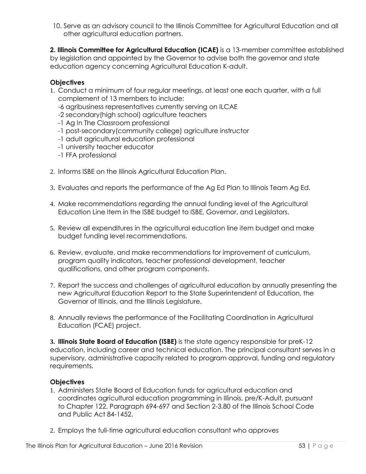10. Serve as an advisory council to the Illinois Committee for Agricultural Education and all other agricultural education partners.

**2. Illinois Committee for Agricultural Education (ICAE)** is a 13-member committee established by legislation and appointed by the Governor to advise both the governor and state education agency concerning Agricultural Education K-adult.

#### **Objectives**

- 1. Conduct a minimum of four regular meetings, at least one each quarter, with a full complement of 13 members to include:
	- -6 agribusiness representatives currently serving on ILCAE
	- -2 secondary(high school) agriculture teachers
	- -1 Ag In The Classroom professional
	- -1 post-secondary(community college) agriculture instructor
	- -1 adult agricultural education professional
	- -1 university teacher educator
	- -1 FFA professional
- 2. Informs ISBE on the Illinois Agricultural Education Plan.
- 3. Evaluates and reports the performance of the Ag Ed Plan to Illinois Team Ag Ed.
- 4. Make recommendations regarding the annual funding level of the Agricultural Education Line Item in the ISBE budget to ISBE, Governor, and Legislators.
- 5. Review all expenditures in the agricultural education line item budget and make budget funding level recommendations.
- 6. Review, evaluate, and make recommendations for improvement of curriculum, program quality indicators, teacher professional development, teacher qualifications, and other program components.
- 7. Report the success and challenges of agricultural education by annually presenting the new Agricultural Education Report to the State Superintendent of Education, the Governor of Illinois, and the Illinois Legislature.
- 8. Annually reviews the performance of the Facilitating Coordination in Agricultural Education (FCAE) project.

**3. Illinois State Board of Education (ISBE)** is the state agency responsible for preK-12 education, including career and technical education. The principal consultant serves in a supervisory, administrative capacity related to program approval, funding and regulatory requirements.

- 1. Administers State Board of Education funds for agricultural education and coordinates agricultural education programming in Illinois, pre/K-Adult, pursuant to Chapter 122, Paragraph 694-697 and Section 2-3.80 of the Illinois School Code and Public Act 84-1452.
- 2. Employs the full-time agricultural education consultant who approves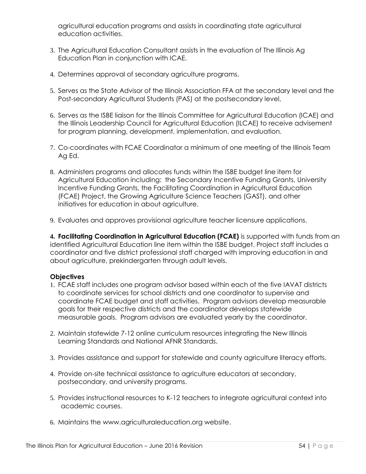agricultural education programs and assists in coordinating state agricultural education activities.

- 3. The Agricultural Education Consultant assists in the evaluation of The Illinois Ag Education Plan in conjunction with ICAE.
- 4. Determines approval of secondary agriculture programs.
- 5. Serves as the State Advisor of the Illinois Association FFA at the secondary level and the Post-secondary Agricultural Students (PAS) at the postsecondary level,
- 6. Serves as the ISBE liaison for the Illinois Committee for Agricultural Education (ICAE) and the Illinois Leadership Council for Agricultural Education (ILCAE) to receive advisement for program planning, development, implementation, and evaluation.
- 7. Co-coordinates with FCAE Coordinator a minimum of one meeting of the Illinois Team Ag Ed.
- 8. Administers programs and allocates funds within the ISBE budget line item for Agricultural Education including: the Secondary Incentive Funding Grants, University Incentive Funding Grants, the Facilitating Coordination in Agricultural Education (FCAE) Project, the Growing Agriculture Science Teachers (GAST), and other initiatives for education in about agriculture.
- 9. Evaluates and approves provisional agriculture teacher licensure applications.

**4. Facilitating Coordination in Agricultural Education (FCAE)** is supported with funds from an identified Agricultural Education line item within the ISBE budget. Project staff includes a coordinator and five district professional staff charged with improving education in and about agriculture, prekindergarten through adult levels.

- 1. FCAE staff includes one program advisor based within each of the five IAVAT districts to coordinate services for school districts and one coordinator to supervise and coordinate FCAE budget and staff activities. Program advisors develop measurable goals for their respective districts and the coordinator develops statewide measurable goals. Program advisors are evaluated yearly by the coordinator.
- 2. Maintain statewide 7-12 online curriculum resources integrating the New Illinois Learning Standards and National AFNR Standards.
- 3. Provides assistance and support for statewide and county agriculture literacy efforts.
- 4. Provide on-site technical assistance to agriculture educators at secondary, postsecondary, and university programs.
- 5. Provides instructional resources to K-12 teachers to integrate agricultural context into academic courses.
- 6. Maintains the [www.agriculturaleducation.org w](http://www.agriculturaleducation.org/)ebsite.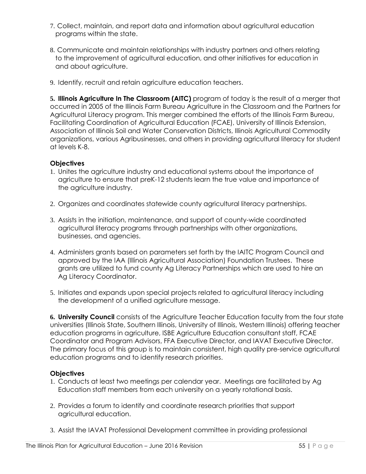- 7. Collect, maintain, and report data and information about agricultural education programs within the state.
- 8. Communicate and maintain relationships with industry partners and others relating to the improvement of agricultural education, and other initiatives for education in and about agriculture.
- 9. Identify, recruit and retain agriculture education teachers.

**5. Illinois Agriculture In The Classroom (AITC)** program of today is the result of a merger that occurred in 2005 of the Illinois Farm Bureau Agriculture in the Classroom and the Partners for Agricultural Literacy program. This merger combined the efforts of the Illinois Farm Bureau, Facilitating Coordination of Agricultural Education (FCAE), University of Illinois Extension, Association of Illinois Soil and Water Conservation Districts, Illinois Agricultural Commodity organizations, various Agribusinesses, and others in providing agricultural literacy for student at levels K-8.

#### **Objectives**

- 1. Unites the agriculture industry and educational systems about the importance of agriculture to ensure that preK-12 students learn the true value and importance of the agriculture industry.
- 2. Organizes and coordinates statewide county agricultural literacy partnerships.
- 3. Assists in the initiation, maintenance, and support of county-wide coordinated agricultural literacy programs through partnerships with other organizations, businesses, and agencies.
- 4. Administers grants based on parameters set forth by the IAITC Program Council and approved by the IAA (Illinois Agricultural Association) Foundation Trustees. These grants are utilized to fund county Ag Literacy Partnerships which are used to hire an Ag Literacy Coordinator.
- 5. Initiates and expands upon special projects related to agricultural literacy including the development of a unified agriculture message.

**6. University Council** consists of the Agriculture Teacher Education faculty from the four state universities (Illinois State, Southern Illinois, University of Illinois, Western Illinois) offering teacher education programs in agriculture, ISBE Agriculture Education consultant staff, FCAE Coordinator and Program Advisors, FFA Executive Director, and IAVAT Executive Director. The primary focus of this group is to maintain consistent, high quality pre-service agricultural education programs and to identify research priorities.

- 1. Conducts at least two meetings per calendar year. Meetings are facilitated by Ag Education staff members from each university on a yearly rotational basis.
- 2. Provides a forum to identify and coordinate research priorities that support agricultural education.
- 3. Assist the IAVAT Professional Development committee in providing professional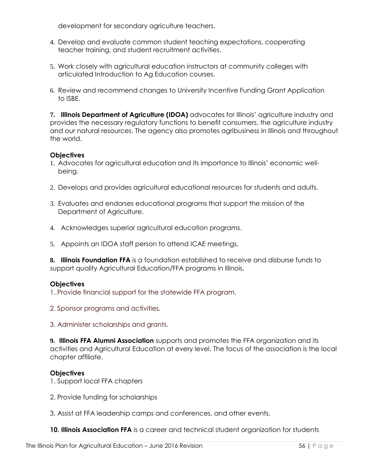development for secondary agriculture teachers.

- 4. Develop and evaluate common student teaching expectations, cooperating teacher training, and student recruitment activities.
- 5. Work closely with agricultural education instructors at community colleges with articulated Introduction to Ag Education courses.
- 6. Review and recommend changes to University Incentive Funding Grant Application to ISBE.

**7. Illinois Department of Agriculture (IDOA)** advocates for Illinois' agriculture industry and provides the necessary regulatory functions to benefit consumers, the agriculture industry and our natural resources. The agency also promotes agribusiness in Illinois and throughout the world.

# **Objectives**

- 1. Advocates for agricultural education and its importance to Illinois' economic wellbeing.
- 2. Develops and provides agricultural educational resources for students and adults.
- 3. Evaluates and endorses educational programs that support the mission of the Department of Agriculture.
- 4. Acknowledges superior agricultural education programs.
- 5. Appoints an IDOA staff person to attend ICAE meetings.

**8. Illinois Foundation FFA** is a foundation established to receive and disburse funds to support quality Agricultural Education/FFA programs in Illinois.

#### **Objectives**

1. Provide financial support for the statewide FFA program.

2. Sponsor programs and activities.

3. Administer scholarships and grants.

**9. Illinois FFA Alumni Association** supports and promotes the FFA organization and its activities and Agricultural Education at every level. The focus of the association is the local chapter affiliate.

#### **Objectives**

1. Support local FFA chapters

2. Provide funding for scholarships

3. Assist at FFA leadership camps and conferences, and other events.

**10. Illinois Association FFA** is a career and technical student organization for students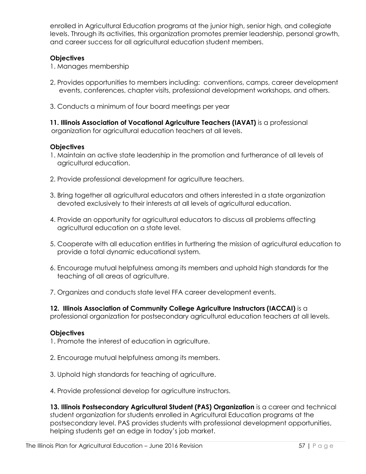enrolled in Agricultural Education programs at the junior high, senior high, and collegiate levels. Through its activities, this organization promotes premier leadership, personal growth, and career success for all agricultural education student members.

#### **Objectives**

- 1. Manages membership
- 2. Provides opportunities to members including: conventions, camps, career development events, conferences, chapter visits, professional development workshops, and others.
- 3. Conducts a minimum of four board meetings per year

 **11. Illinois Association of Vocational Agriculture Teachers (IAVAT)** is a professional organization for agricultural education teachers at all levels.

#### **Objectives**

- 1. Maintain an active state leadership in the promotion and furtherance of all levels of agricultural education.
- 2. Provide professional development for agriculture teachers.
- 3. Bring together all agricultural educators and others interested in a state organization devoted exclusively to their interests at all levels of agricultural education.
- 4. Provide an opportunity for agricultural educators to discuss all problems affecting agricultural education on a state level.
- 5. Cooperate with all education entities in furthering the mission of agricultural education to provide a total dynamic educational system.
- 6. Encourage mutual helpfulness among its members and uphold high standards for the teaching of all areas of agriculture.
- 7. Organizes and conducts state level FFA career development events.

**12. Illinois Association of Community College Agriculture Instructors (IACCAI)** is a professional organization for postsecondary agricultural education teachers at all levels.

#### **Objectives**

1. Promote the interest of education in agriculture.

- 2. Encourage mutual helpfulness among its members.
- 3. Uphold high standards for teaching of agriculture.
- 4. Provide professional develop for agriculture instructors.

**13. Illinois Postsecondary Agricultural Student (PAS) Organization** is a career and technical student organization for students enrolled in Agricultural Education programs at the postsecondary level. PAS provides students with professional development opportunities, helping students get an edge in today's job market.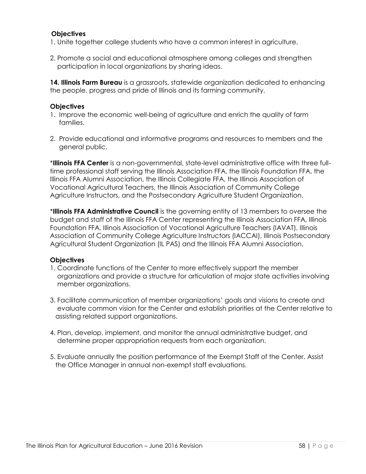#### **Objectives**

- 1. Unite together college students who have a common interest in agriculture.
- 2. Promote a social and educational atmosphere among colleges and strengthen participation in local organizations by sharing ideas.

**14. Illinois Farm Bureau** is a grassroots, statewide organization dedicated to enhancing the people, progress and pride of Illinois and its farming community.

#### **Objectives**

- 1. Improve the economic well-being of agriculture and enrich the quality of farm families.
- 2. Provide educational and informative programs and resources to members and the general public.

\***Illinois FFA Center** is a non-governmental, state-level administrative office with three fulltime professional staff serving the Illinois Association FFA, the Illinois Foundation FFA, the Illinois FFA Alumni Association, the Illinois Collegiate FFA, the Illinois Association of Vocational Agricultural Teachers, the Illinois Association of Community College Agriculture Instructors, and the Postsecondary Agriculture Student Organization.

\***Illinois FFA Administrative Council** is the governing entity of 13 members to oversee the budget and staff of the Illinois FFA Center representing the Illinois Association FFA, Illinois Foundation FFA, Illinois Association of Vocational Agriculture Teachers (IAVAT), Illinois Association of Community College Agriculture Instructors (IACCAI), Illinois Postsecondary Agricultural Student Organization (IL PAS) and the Illinois FFA Alumni Association.

- 1. Coordinate functions of the Center to more effectively support the member organizations and provide a structure for articulation of major state activities involving member organizations.
- 3. Facilitate communication of member organizations' goals and visions to create and evaluate common vision for the Center and establish priorities at the Center relative to assisting related support organizations.
- 4. Plan, develop, implement, and monitor the annual administrative budget, and determine proper appropriation requests from each organization.
- 5. Evaluate annually the position performance of the Exempt Staff of the Center. Assist the Office Manager in annual non-exempt staff evaluations.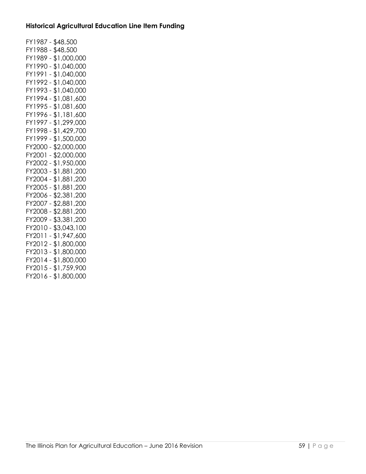#### **Historical Agricultural Education Line Item Funding**

FY1987 - \$48,500 FY1988 - \$48,500 FY1989 - \$1,000,000 FY1990 - \$1,040,000 FY1991 - \$1,040,000 FY1992 - \$1,040,000 FY1993 - \$1,040,000 FY1994 - \$1,081,600 FY1995 - \$1,081,600 FY1996 - \$1,181,600 FY1997 - \$1,299,000 FY1998 - \$1,429,700 FY1999 - \$1,500,000 FY2000 - \$2,000,000 FY2001 - \$2,000,000 FY2002 - \$1,950,000 FY2003 - \$1,881,200 FY2004 - \$1,881,200 FY2005 - \$1,881,200 FY2006 - \$2,381,200 FY2007 - \$2,881,200 FY2008 - \$2,881,200 FY2009 - \$3,381,200 FY2010 - \$3,043,100 FY2011 - \$1,947,600 FY2012 - \$1,800,000 FY2013 - \$1,800,000 FY2014 - \$1,800,000 FY2015 - \$1,759,900 FY2016 - \$1,800,000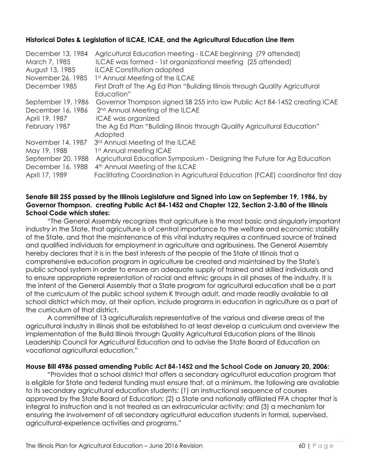#### **Historical Dates & Legislation of ILCAE, ICAE, and the Agricultural Education Line Item**

| December 13, 1984<br>March 7, 1985<br>August 13, 1985<br>November 26, 1985<br>December 1985 | Agricultural Education meeting - ILCAE beginning (79 attended)<br>ILCAE was formed - 1st organizational meeting (25 attended)<br><b>ILCAE Constitution adopted</b><br>1st Annual Meeting of the ILCAE<br>First Draft of The Ag Ed Plan "Building Illinois through Quality Agricultural<br>Education" |
|---------------------------------------------------------------------------------------------|------------------------------------------------------------------------------------------------------------------------------------------------------------------------------------------------------------------------------------------------------------------------------------------------------|
| September 19, 1986                                                                          | Governor Thompson signed SB 255 into law Public Act 84-1452 creating ICAE                                                                                                                                                                                                                            |
| December 16, 1986                                                                           | 2 <sup>nd</sup> Annual Meeting of the ILCAE                                                                                                                                                                                                                                                          |
| April 19, 1987                                                                              | ICAE was organized                                                                                                                                                                                                                                                                                   |
| February 1987                                                                               | The Ag Ed Plan "Building Illinois through Quality Agricultural Education"<br>Adopted                                                                                                                                                                                                                 |
| November 14, 1987                                                                           | 3rd Annual Meeting of the ILCAE                                                                                                                                                                                                                                                                      |
| May 19, 1988                                                                                | 1st Annual meeting ICAE                                                                                                                                                                                                                                                                              |
| September 20, 1988                                                                          | Agricultural Education Symposium - Designing the Future for Ag Education                                                                                                                                                                                                                             |
| December 16, 1988                                                                           | 4 <sup>th</sup> Annual Meeting of the ILCAE                                                                                                                                                                                                                                                          |
| April 17, 1989                                                                              | Facilitating Coordination in Agricultural Education (FCAE) coordinator first day                                                                                                                                                                                                                     |

#### **Senate Bill 255 passed by the Illinois Legislature and Signed into Law on September 19, 1986, by Governor Thompson. creating Public Act 84-1452 and Chapter 122, Section 2-3.80 of the Illinois School Code which states:**

"The General Assembly recognizes that agriculture is the most basic and singularly important industry in the State, that agriculture is of central importance to the welfare and economic stability of the State, and that the maintenance of this vital industry requires a continued source of trained and qualified individuals for employment in agriculture and agribusiness. The General Assembly hereby declares that it is in the best interests of the people of the State of Illinois that a comprehensive education program in agriculture be created and maintained by the State's public school system in order to ensure an adequate supply of trained and skilled individuals and to ensure appropriate representation of racial and ethnic groups in all phases of the industry. It is the intent of the General Assembly that a State program for agricultural education shall be a part of the curriculum of the public school system K through adult, and made readily available to all school district which may, at their option, include programs in education in agriculture as a part of the curriculum of that district.

A committee of 13 agriculturalists representative of the various and diverse areas of the agricultural industry in Illinois shall be established to at least develop a curriculum and overview the implementation of the Build Illinois through Quality Agricultural Education plans of the Illinois Leadership Council for Agricultural Education and to advise the State Board of Education on vocational agricultural education."

#### **House Bill 4986 passed amending Public Act 84-1452 and the School Code on January 20, 2006:**

"Provides that a school district that offers a secondary agricultural education program that is eligible for State and federal funding must ensure that, at a minimum, the following are available to its secondary agricultural education students: (1) an instructional sequence of courses approved by the State Board of Education; (2) a State and nationally affiliated FFA chapter that is integral to instruction and is not treated as an extracurricular activity; and (3) a mechanism for ensuring the involvement of all secondary agricultural education students in formal, supervised, agricultural-experience activities and programs."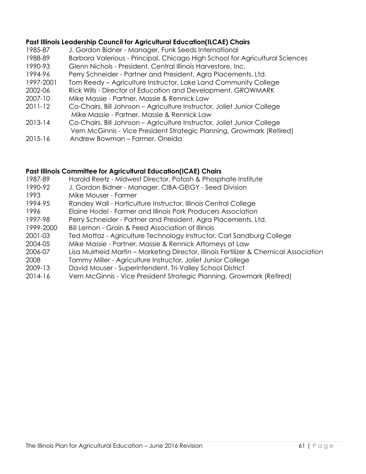#### **Past Illinois Leadership Council for Agricultural Education(ILCAE) Chairs**

- 1985-87 J. Gordon Bidner Manager, Funk Seeds International
- 1988-89 Barbara Valerious Principal, Chicago High School for Agricultural Sciences
- 1990-93 Glenn Nichols President, Central Illinois Harvestore, Inc.
- 1994-96 Perry Schneider Partner and President, Agra Placements, Ltd.
- 1997-2001 Tom Reedy Agriculture Instructor, Lake Land Community College
- 2002-06 Rick Wills Director of Education and Development, GROWMARK
- 2007-10 Mike Massie Partner, Massie & Rennick Law
- 2011-12 Co-Chairs, Bill Johnson Agriculture Instructor, Joliet Junior College Mike Massie - Partner, Massie & Rennick Law
- 2013-14 Co-Chairs, Bill Johnson Agriculture Instructor, Joliet Junior College Vern McGinnis - Vice President Strategic Planning, Growmark (Retired)
- 2015-16 Andrew Bowman Farmer, Oneida

#### **Past Illinois Committee for Agricultural Education(ICAE) Chairs**

- 1987-89 Harold Reetz Midwest Director, Potash & Phosphate Institute 1990-92 J. Gordon Bidner - Manager, CIBA-GEIGY - Seed Division 1993 Mike Mouser - Farmer 1994-95 Randey Wall - Horticulture Instructor, Illinois Central College 1996 Elaine Hodel - Farmer and Illinois Pork Producers Association 1997-98 Perry Schneider - Partner and President, Agra Placements, Ltd. 1999-2000 Bill Lemon - Grain & Feed Association of Illinois 2001-03 Ted Mottaz - Agriculture Technology Instructor, Carl Sandburg College 2004-05 Mike Massie - Partner, Massie & Rennick Attorneys at Law 2006-07 Lisa Muirheid Martin – Marketing Director, Illinois Fertilizer & Chemical Association 2008 Tammy Miller - Agriculture Instructor, Joliet Junior College 2009-13 David Mouser - Superintendent, Tri-Valley School District
- 2014-16 Vern McGinnis Vice President Strategic Planning, Growmark (Retired)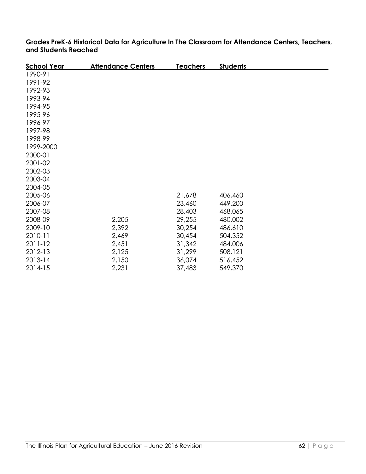| <b>School Year</b> | <b>Attendance Centers</b> | <u>Teachers</u> | <b>Students</b> |  |
|--------------------|---------------------------|-----------------|-----------------|--|
| 1990-91            |                           |                 |                 |  |
| 1991-92            |                           |                 |                 |  |
| 1992-93            |                           |                 |                 |  |
| 1993-94            |                           |                 |                 |  |
| 1994-95            |                           |                 |                 |  |
| 1995-96            |                           |                 |                 |  |
| 1996-97            |                           |                 |                 |  |
| 1997-98            |                           |                 |                 |  |
| 1998-99            |                           |                 |                 |  |
| 1999-2000          |                           |                 |                 |  |
| 2000-01            |                           |                 |                 |  |
| 2001-02            |                           |                 |                 |  |
| 2002-03            |                           |                 |                 |  |
| 2003-04            |                           |                 |                 |  |
| 2004-05            |                           |                 |                 |  |
| 2005-06            |                           | 21,678          | 406,460         |  |
| 2006-07            |                           | 23,460          | 449,200         |  |
| 2007-08            |                           | 28,403          | 468,065         |  |
| 2008-09            | 2,205                     | 29,255          | 480,002         |  |
| 2009-10            | 2,392                     | 30,254          | 486.610         |  |
| 2010-11            | 2,469                     | 30,454          | 504,352         |  |
| 2011-12            | 2,451                     | 31,342          | 484,006         |  |
| 2012-13            | 2,125                     | 31,299          | 508,121         |  |
| 2013-14            | 2,150                     | 36,074          | 516,452         |  |
| 2014-15            | 2,231                     | 37,483          | 549,370         |  |

**Grades PreK-6 Historical Data for Agriculture In The Classroom for Attendance Centers, Teachers, and Students Reached**